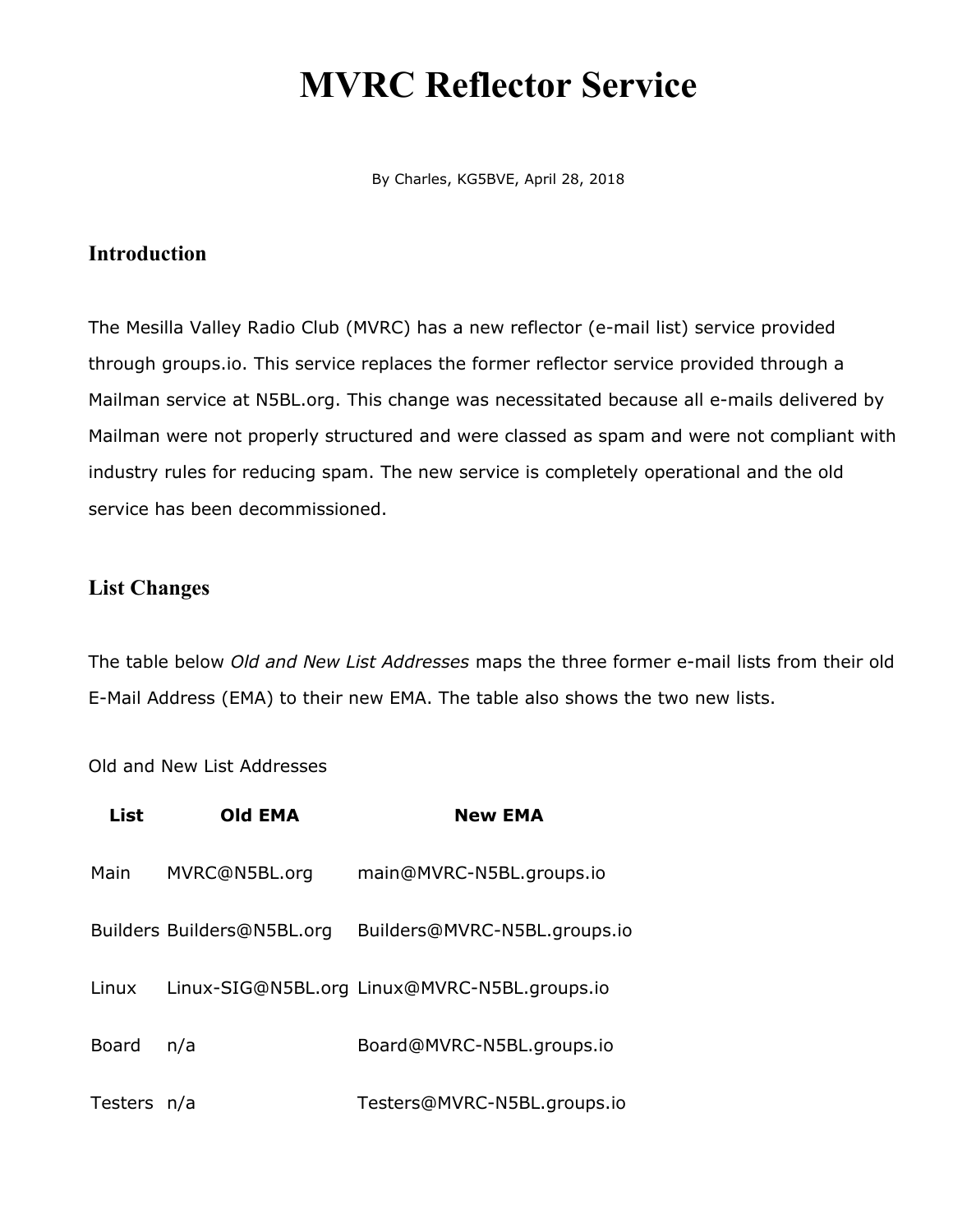# **MVRC Reflector Service**

By Charles, KG5BVE, April 28, 2018

### **Introduction**

The Mesilla Valley Radio Club (MVRC) has a new reflector (e-mail list) service provided through groups.io. This service replaces the former reflector service provided through a Mailman service at N5BL.org. This change was necessitated because all e-mails delivered by Mailman were not properly structured and were classed as spam and were not compliant with industry rules for reducing spam. The new service is completely operational and the old service has been decommissioned.

### **List Changes**

The table below *Old and New List Addresses* maps the three former e-mail lists from their old E-Mail Address (EMA) to their new EMA. The table also shows the two new lists.

Old and New List Addresses

| List         | <b>Old EMA</b>             | <b>New EMA</b>                               |
|--------------|----------------------------|----------------------------------------------|
| Main         | MVRC@N5BL.org              | main@MVRC-N5BL.groups.io                     |
|              | Builders Builders@N5BL.org | Builders@MVRC-N5BL.groups.io                 |
| Linux        |                            | Linux-SIG@N5BL.org Linux@MVRC-N5BL.groups.io |
| <b>Board</b> | n/a                        | Board@MVRC-N5BL.groups.io                    |
| Testers n/a  |                            | Testers@MVRC-N5BL.groups.io                  |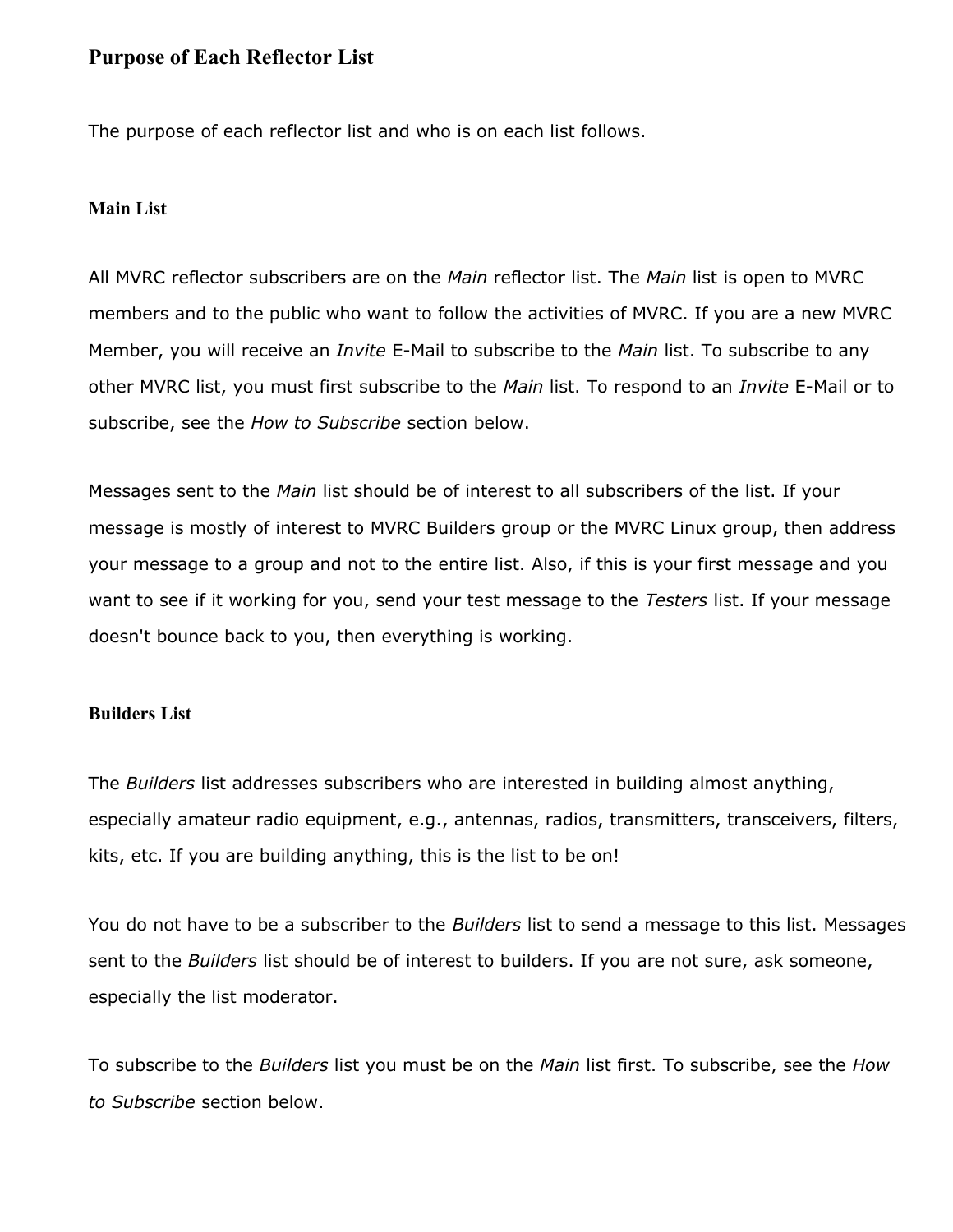### **Purpose of Each Reflector List**

The purpose of each reflector list and who is on each list follows.

### **Main List**

All MVRC reflector subscribers are on the *Main* reflector list. The *Main* list is open to MVRC members and to the public who want to follow the activities of MVRC. If you are a new MVRC Member, you will receive an *Invite* E-Mail to subscribe to the *Main* list. To subscribe to any other MVRC list, you must first subscribe to the *Main* list. To respond to an *Invite* E-Mail or to subscribe, see the *How to Subscribe* section below.

Messages sent to the *Main* list should be of interest to all subscribers of the list. If your message is mostly of interest to MVRC Builders group or the MVRC Linux group, then address your message to a group and not to the entire list. Also, if this is your first message and you want to see if it working for you, send your test message to the *Testers* list. If your message doesn't bounce back to you, then everything is working.

### **Builders List**

The *Builders* list addresses subscribers who are interested in building almost anything, especially amateur radio equipment, e.g., antennas, radios, transmitters, transceivers, filters, kits, etc. If you are building anything, this is the list to be on!

You do not have to be a subscriber to the *Builders* list to send a message to this list. Messages sent to the *Builders* list should be of interest to builders. If you are not sure, ask someone, especially the list moderator.

To subscribe to the *Builders* list you must be on the *Main* list first. To subscribe, see the *How to Subscribe* section below.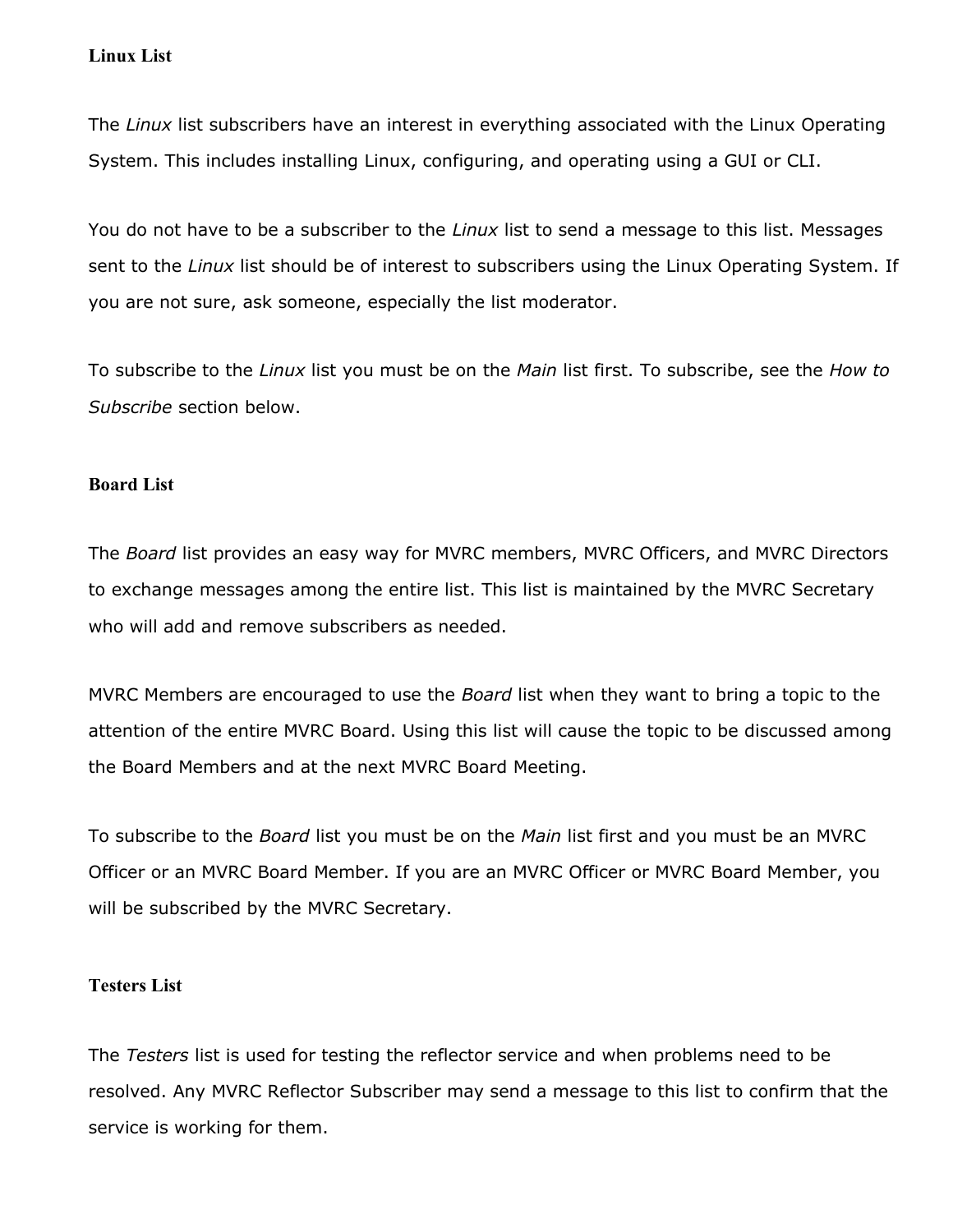### **Linux List**

The *Linux* list subscribers have an interest in everything associated with the Linux Operating System. This includes installing Linux, configuring, and operating using a GUI or CLI.

You do not have to be a subscriber to the *Linux* list to send a message to this list. Messages sent to the *Linux* list should be of interest to subscribers using the Linux Operating System. If you are not sure, ask someone, especially the list moderator.

To subscribe to the *Linux* list you must be on the *Main* list first. To subscribe, see the *How to Subscribe* section below.

### **Board List**

The *Board* list provides an easy way for MVRC members, MVRC Officers, and MVRC Directors to exchange messages among the entire list. This list is maintained by the MVRC Secretary who will add and remove subscribers as needed.

MVRC Members are encouraged to use the *Board* list when they want to bring a topic to the attention of the entire MVRC Board. Using this list will cause the topic to be discussed among the Board Members and at the next MVRC Board Meeting.

To subscribe to the *Board* list you must be on the *Main* list first and you must be an MVRC Officer or an MVRC Board Member. If you are an MVRC Officer or MVRC Board Member, you will be subscribed by the MVRC Secretary.

### **Testers List**

The *Testers* list is used for testing the reflector service and when problems need to be resolved. Any MVRC Reflector Subscriber may send a message to this list to confirm that the service is working for them.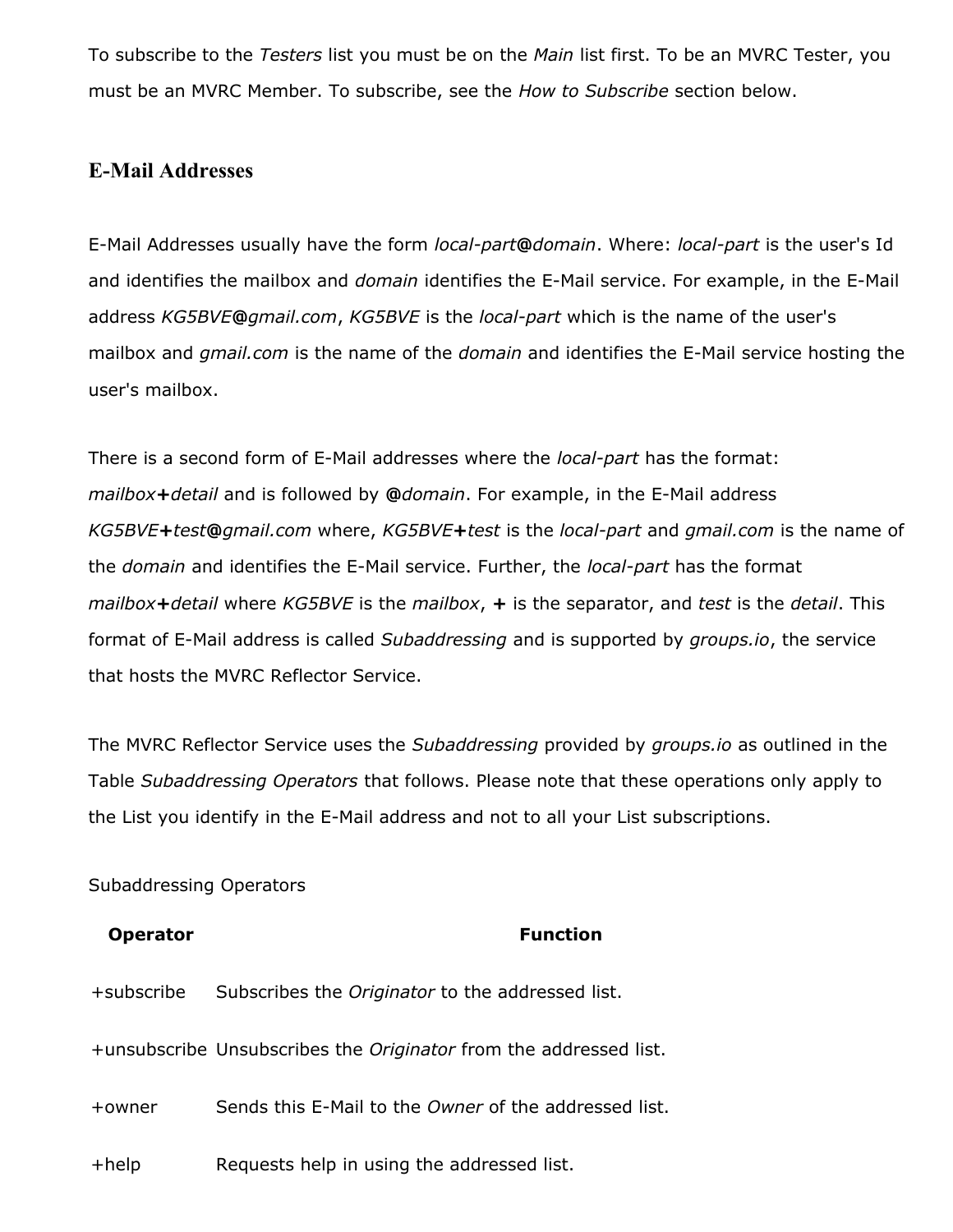To subscribe to the *Testers* list you must be on the *Main* list first. To be an MVRC Tester, you must be an MVRC Member. To subscribe, see the *How to Subscribe* section below.

### **E-Mail Addresses**

E-Mail Addresses usually have the form *local-part***@***domain*. Where: *local-part* is the user's Id and identifies the mailbox and *domain* identifies the E-Mail service. For example, in the E-Mail address *KG5BVE***@***gmail.com*, *KG5BVE* is the *local-part* which is the name of the user's mailbox and *gmail.com* is the name of the *domain* and identifies the E-Mail service hosting the user's mailbox.

There is a second form of E-Mail addresses where the *local-part* has the format: *mailbox***+***detail* and is followed by **@***domain*. For example, in the E-Mail address *KG5BVE***+***test***@***gmail.com* where, *KG5BVE***+***test* is the *local-part* and *gmail.com* is the name of the *domain* and identifies the E-Mail service. Further, the *local-part* has the format *mailbox***+***detail* where *KG5BVE* is the *mailbox*, **+** is the separator, and *test* is the *detail*. This format of E-Mail address is called *Subaddressing* and is supported by *groups.io*, the service that hosts the MVRC Reflector Service.

The MVRC Reflector Service uses the *Subaddressing* provided by *groups.io* as outlined in the Table *Subaddressing Operators* that follows. Please note that these operations only apply to the List you identify in the E-Mail address and not to all your List subscriptions.

### Subaddressing Operators

### **Operator Function**

+subscribe Subscribes the *Originator* to the addressed list.

+unsubscribe Unsubscribes the *Originator* from the addressed list.

+owner Sends this E-Mail to the *Owner* of the addressed list.

+help Requests help in using the addressed list.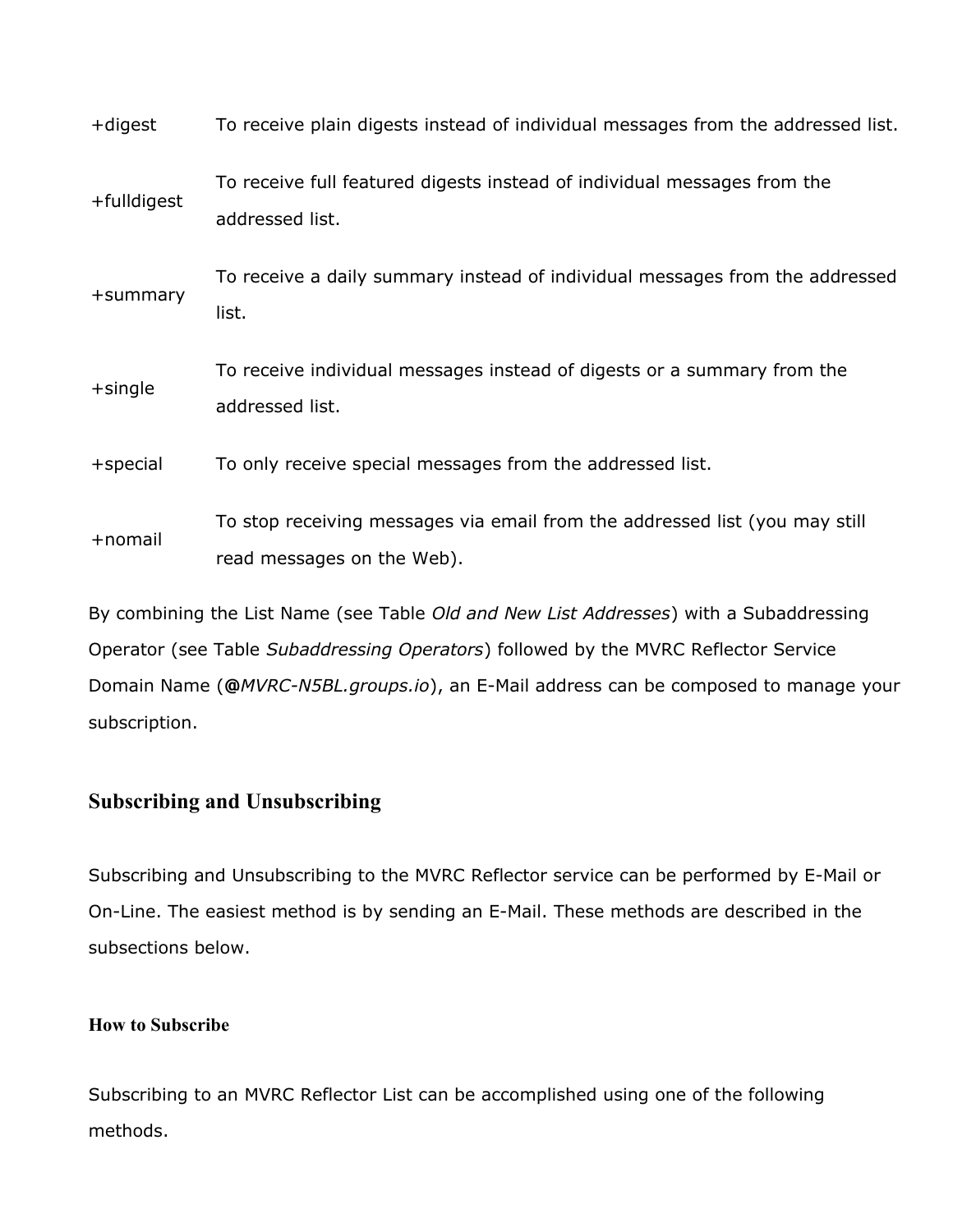| +digest     | To receive plain digests instead of individual messages from the addressed list.                          |  |
|-------------|-----------------------------------------------------------------------------------------------------------|--|
| +fulldigest | To receive full featured digests instead of individual messages from the<br>addressed list.               |  |
| +summary    | To receive a daily summary instead of individual messages from the addressed<br>list.                     |  |
| $+$ single  | To receive individual messages instead of digests or a summary from the<br>addressed list.                |  |
| $+$ special | To only receive special messages from the addressed list.                                                 |  |
| +nomail     | To stop receiving messages via email from the addressed list (you may still<br>read messages on the Web). |  |

By combining the List Name (see Table *Old and New List Addresses*) with a Subaddressing Operator (see Table *Subaddressing Operators*) followed by the MVRC Reflector Service Domain Name (**@***MVRC-N5BL.groups.io*), an E-Mail address can be composed to manage your subscription.

### **Subscribing and Unsubscribing**

Subscribing and Unsubscribing to the MVRC Reflector service can be performed by E-Mail or On-Line. The easiest method is by sending an E-Mail. These methods are described in the subsections below.

### **How to Subscribe**

Subscribing to an MVRC Reflector List can be accomplished using one of the following methods.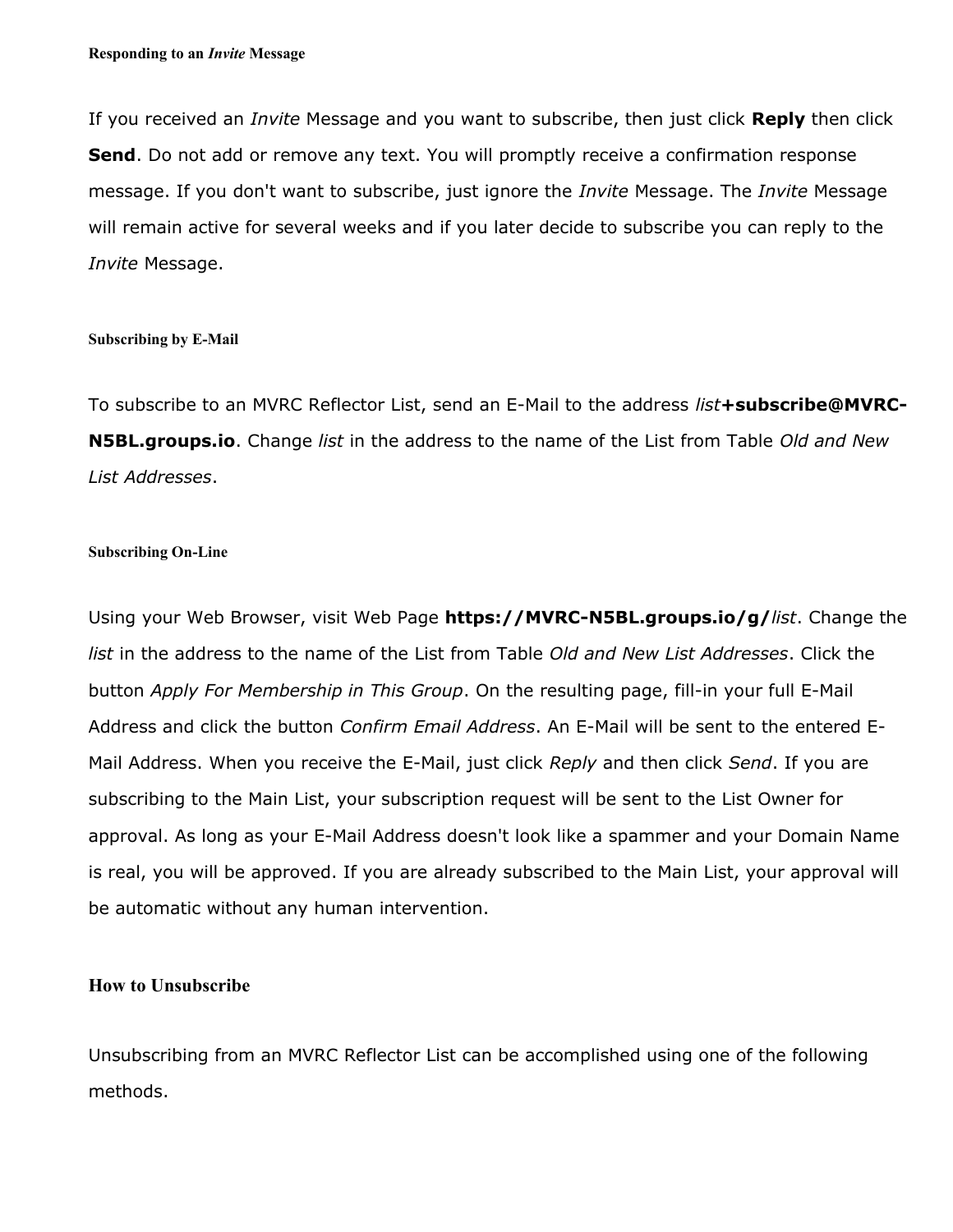If you received an *Invite* Message and you want to subscribe, then just click **Reply** then click **Send**. Do not add or remove any text. You will promptly receive a confirmation response message. If you don't want to subscribe, just ignore the *Invite* Message. The *Invite* Message will remain active for several weeks and if you later decide to subscribe you can reply to the *Invite* Message.

#### **Subscribing by E-Mail**

To subscribe to an MVRC Reflector List, send an E-Mail to the address *list***+subscribe@MVRC-N5BL.groups.io**. Change *list* in the address to the name of the List from Table *Old and New List Addresses*.

#### **Subscribing On-Line**

Using your Web Browser, visit Web Page **https://MVRC-N5BL.groups.io/g/***list*. Change the *list* in the address to the name of the List from Table *Old and New List Addresses*. Click the button *Apply For Membership in This Group*. On the resulting page, fill-in your full E-Mail Address and click the button *Confirm Email Address*. An E-Mail will be sent to the entered E-Mail Address. When you receive the E-Mail, just click *Reply* and then click *Send*. If you are subscribing to the Main List, your subscription request will be sent to the List Owner for approval. As long as your E-Mail Address doesn't look like a spammer and your Domain Name is real, you will be approved. If you are already subscribed to the Main List, your approval will be automatic without any human intervention.

#### **How to Unsubscribe**

Unsubscribing from an MVRC Reflector List can be accomplished using one of the following methods.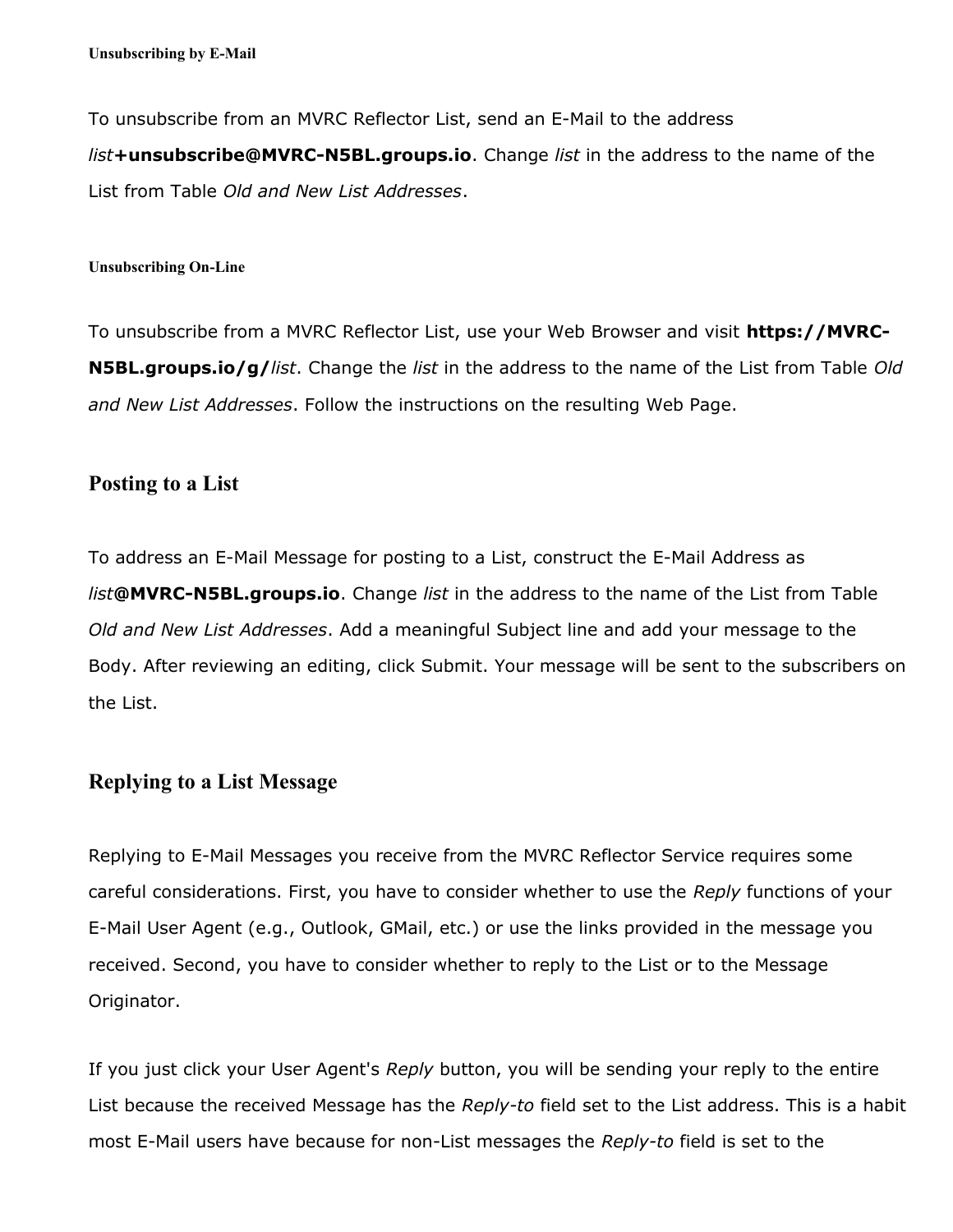To unsubscribe from an MVRC Reflector List, send an E-Mail to the address *list***+unsubscribe@MVRC-N5BL.groups.io**. Change *list* in the address to the name of the List from Table *Old and New List Addresses*.

#### **Unsubscribing On-Line**

To unsubscribe from a MVRC Reflector List, use your Web Browser and visit **https://MVRC-N5BL.groups.io/g/***list*. Change the *list* in the address to the name of the List from Table *Old and New List Addresses*. Follow the instructions on the resulting Web Page.

### **Posting to a List**

To address an E-Mail Message for posting to a List, construct the E-Mail Address as *list***@MVRC-N5BL.groups.io**. Change *list* in the address to the name of the List from Table *Old and New List Addresses*. Add a meaningful Subject line and add your message to the Body. After reviewing an editing, click Submit. Your message will be sent to the subscribers on the List.

### **Replying to a List Message**

Replying to E-Mail Messages you receive from the MVRC Reflector Service requires some careful considerations. First, you have to consider whether to use the *Reply* functions of your E-Mail User Agent (e.g., Outlook, GMail, etc.) or use the links provided in the message you received. Second, you have to consider whether to reply to the List or to the Message Originator.

If you just click your User Agent's *Reply* button, you will be sending your reply to the entire List because the received Message has the *Reply-to* field set to the List address. This is a habit most E-Mail users have because for non-List messages the *Reply-to* field is set to the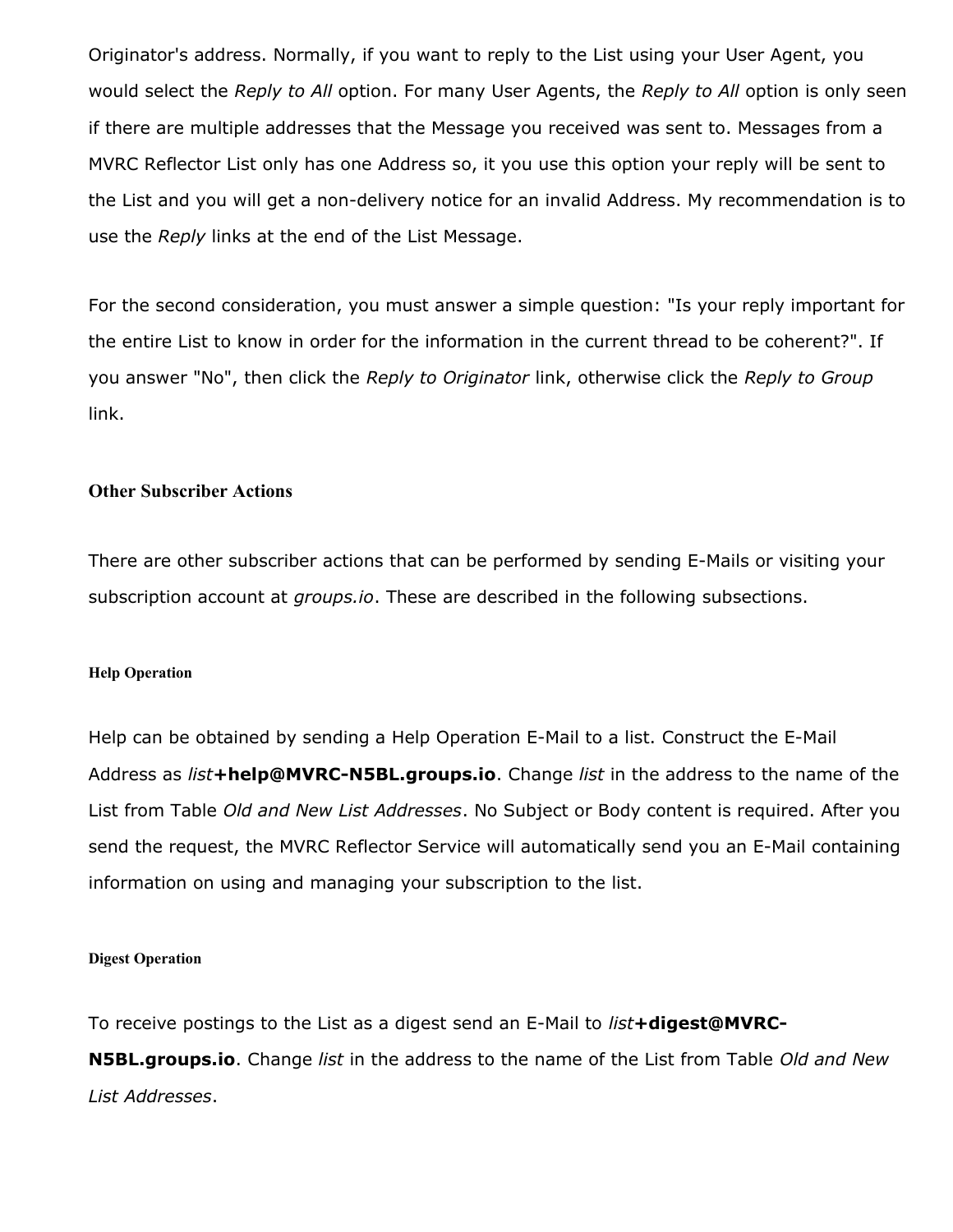Originator's address. Normally, if you want to reply to the List using your User Agent, you would select the *Reply to All* option. For many User Agents, the *Reply to All* option is only seen if there are multiple addresses that the Message you received was sent to. Messages from a MVRC Reflector List only has one Address so, it you use this option your reply will be sent to the List and you will get a non-delivery notice for an invalid Address. My recommendation is to use the *Reply* links at the end of the List Message.

For the second consideration, you must answer a simple question: "Is your reply important for the entire List to know in order for the information in the current thread to be coherent?". If you answer "No", then click the *Reply to Originator* link, otherwise click the *Reply to Group* link.

### **Other Subscriber Actions**

There are other subscriber actions that can be performed by sending E-Mails or visiting your subscription account at *groups.io*. These are described in the following subsections.

#### **Help Operation**

Help can be obtained by sending a Help Operation E-Mail to a list. Construct the E-Mail Address as *list***+help@MVRC-N5BL.groups.io**. Change *list* in the address to the name of the List from Table *Old and New List Addresses*. No Subject or Body content is required. After you send the request, the MVRC Reflector Service will automatically send you an E-Mail containing information on using and managing your subscription to the list.

#### **Digest Operation**

To receive postings to the List as a digest send an E-Mail to *list***+digest@MVRC-**

**N5BL.groups.io**. Change *list* in the address to the name of the List from Table *Old and New List Addresses*.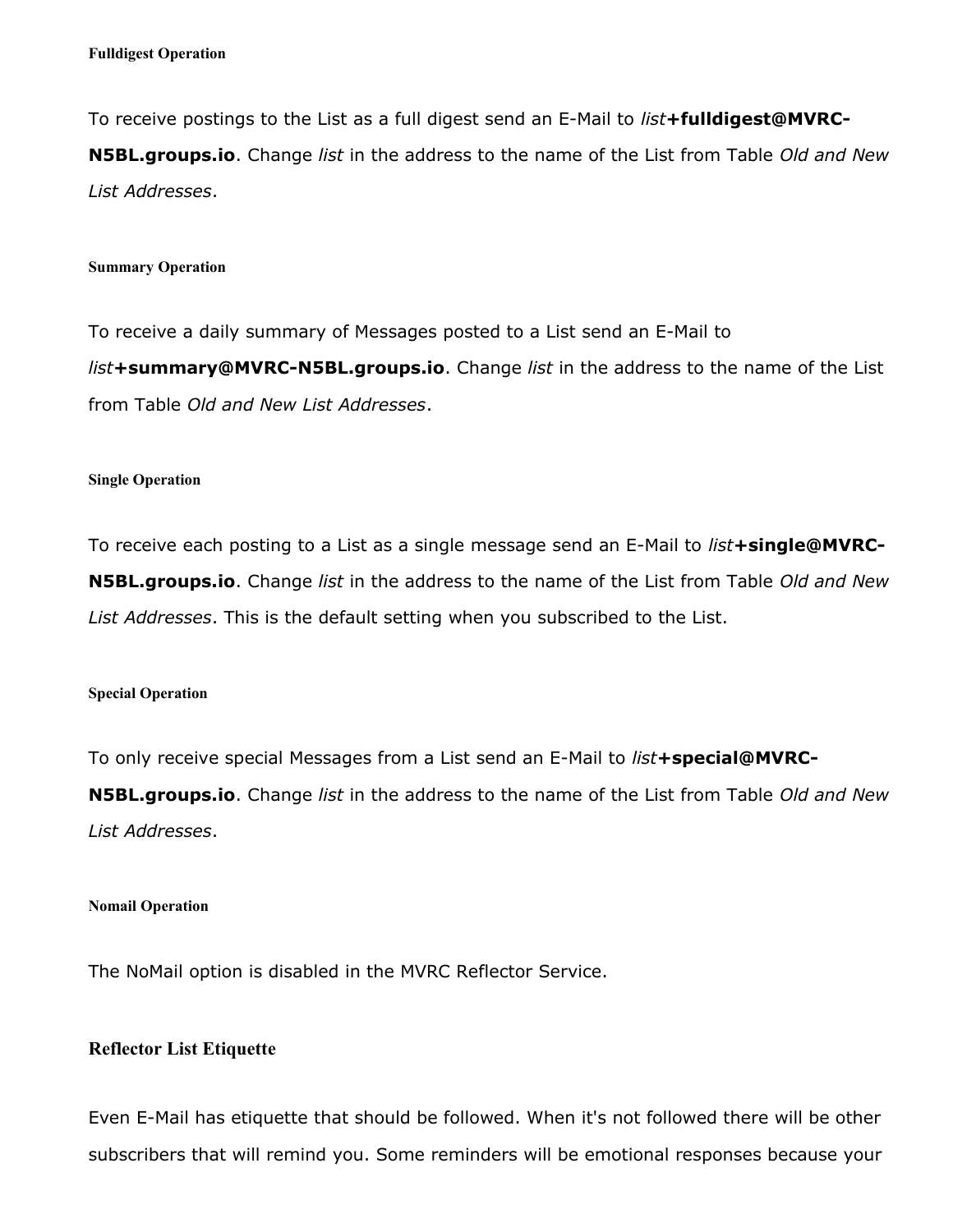To receive postings to the List as a full digest send an E-Mail to *list***+fulldigest@MVRC-N5BL.groups.io**. Change *list* in the address to the name of the List from Table *Old and New List Addresses*.

#### **Summary Operation**

To receive a daily summary of Messages posted to a List send an E-Mail to *list***+summary@MVRC-N5BL.groups.io**. Change *list* in the address to the name of the List from Table *Old and New List Addresses*.

#### **Single Operation**

To receive each posting to a List as a single message send an E-Mail to *list***+single@MVRC-N5BL.groups.io**. Change *list* in the address to the name of the List from Table *Old and New List Addresses*. This is the default setting when you subscribed to the List.

#### **Special Operation**

To only receive special Messages from a List send an E-Mail to *list***+special@MVRC-**

**N5BL.groups.io**. Change *list* in the address to the name of the List from Table *Old and New List Addresses*.

#### **Nomail Operation**

The NoMail option is disabled in the MVRC Reflector Service.

### **Reflector List Etiquette**

Even E-Mail has etiquette that should be followed. When it's not followed there will be other subscribers that will remind you. Some reminders will be emotional responses because your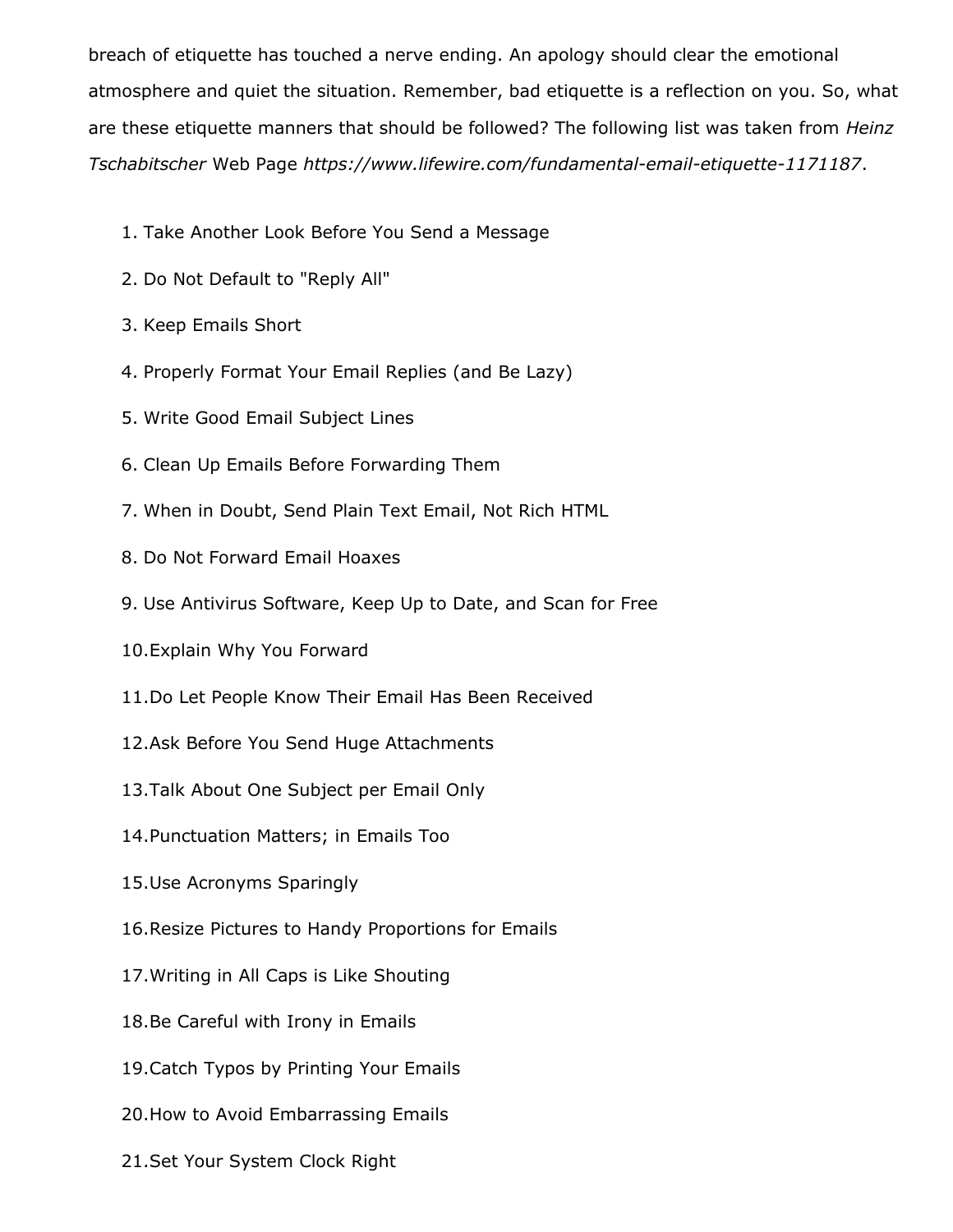breach of etiquette has touched a nerve ending. An apology should clear the emotional atmosphere and quiet the situation. Remember, bad etiquette is a reflection on you. So, what are these etiquette manners that should be followed? The following list was taken from *Heinz Tschabitscher* Web Page *https://www.lifewire.com/fundamental-email-etiquette-1171187*.

- 1. Take Another Look Before You Send a Message
- 2. Do Not Default to "Reply All"
- 3. Keep Emails Short
- 4. Properly Format Your Email Replies (and Be Lazy)
- 5. Write Good Email Subject Lines
- 6. Clean Up Emails Before Forwarding Them
- 7. When in Doubt, Send Plain Text Email, Not Rich HTML
- 8. Do Not Forward Email Hoaxes
- 9. Use Antivirus Software, Keep Up to Date, and Scan for Free
- 10.Explain Why You Forward
- 11.Do Let People Know Their Email Has Been Received
- 12.Ask Before You Send Huge Attachments
- 13.Talk About One Subject per Email Only
- 14.Punctuation Matters; in Emails Too
- 15.Use Acronyms Sparingly
- 16.Resize Pictures to Handy Proportions for Emails
- 17.Writing in All Caps is Like Shouting
- 18.Be Careful with Irony in Emails
- 19.Catch Typos by Printing Your Emails
- 20.How to Avoid Embarrassing Emails
- 21.Set Your System Clock Right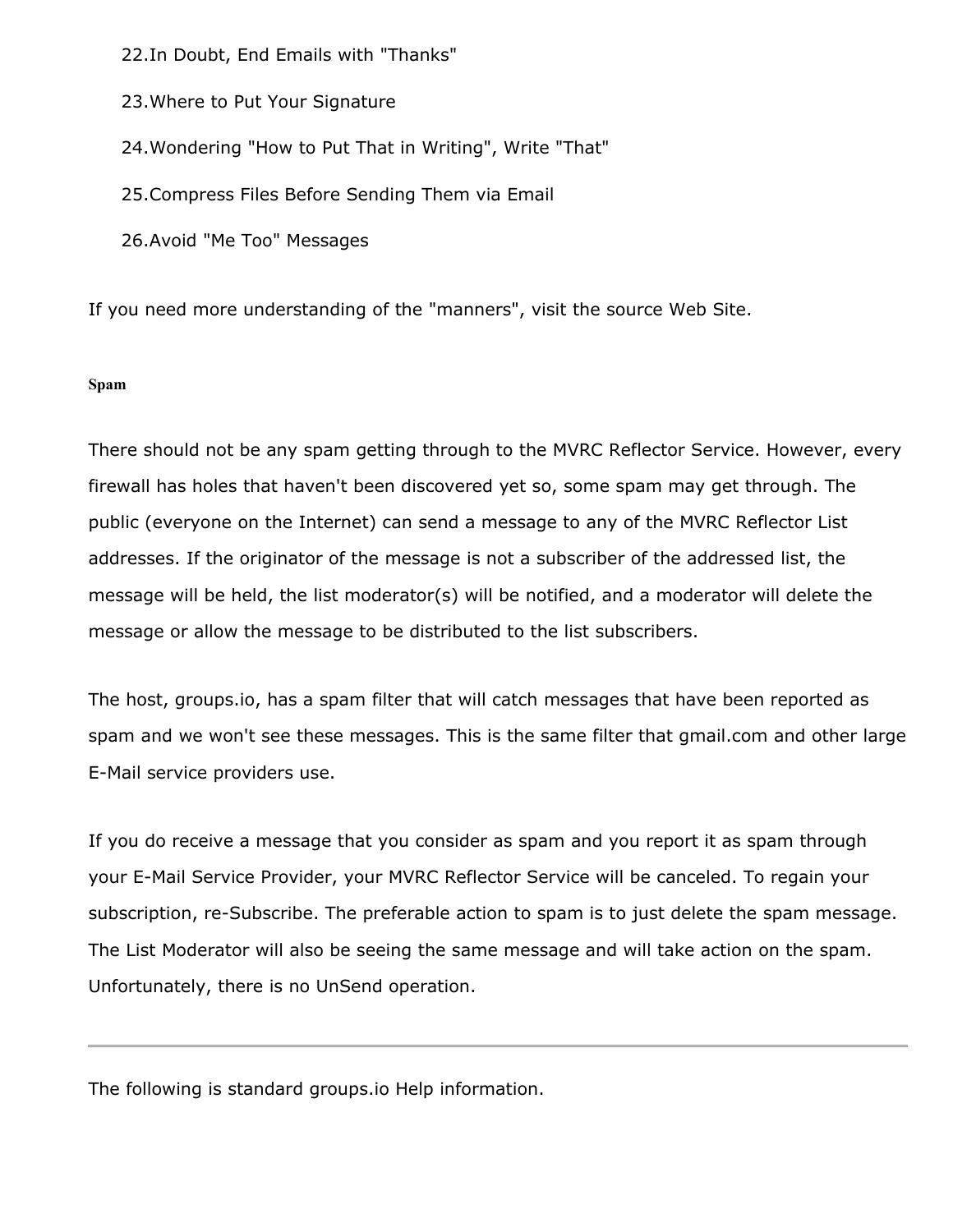22.In Doubt, End Emails with "Thanks"

23.Where to Put Your Signature

24.Wondering "How to Put That in Writing", Write "That"

25.Compress Files Before Sending Them via Email

26.Avoid "Me Too" Messages

If you need more understanding of the "manners", visit the source Web Site.

### **Spam**

There should not be any spam getting through to the MVRC Reflector Service. However, every firewall has holes that haven't been discovered yet so, some spam may get through. The public (everyone on the Internet) can send a message to any of the MVRC Reflector List addresses. If the originator of the message is not a subscriber of the addressed list, the message will be held, the list moderator(s) will be notified, and a moderator will delete the message or allow the message to be distributed to the list subscribers.

The host, groups.io, has a spam filter that will catch messages that have been reported as spam and we won't see these messages. This is the same filter that gmail.com and other large E-Mail service providers use.

If you do receive a message that you consider as spam and you report it as spam through your E-Mail Service Provider, your MVRC Reflector Service will be canceled. To regain your subscription, re-Subscribe. The preferable action to spam is to just delete the spam message. The List Moderator will also be seeing the same message and will take action on the spam. Unfortunately, there is no UnSend operation.

The following is standard groups.io Help information.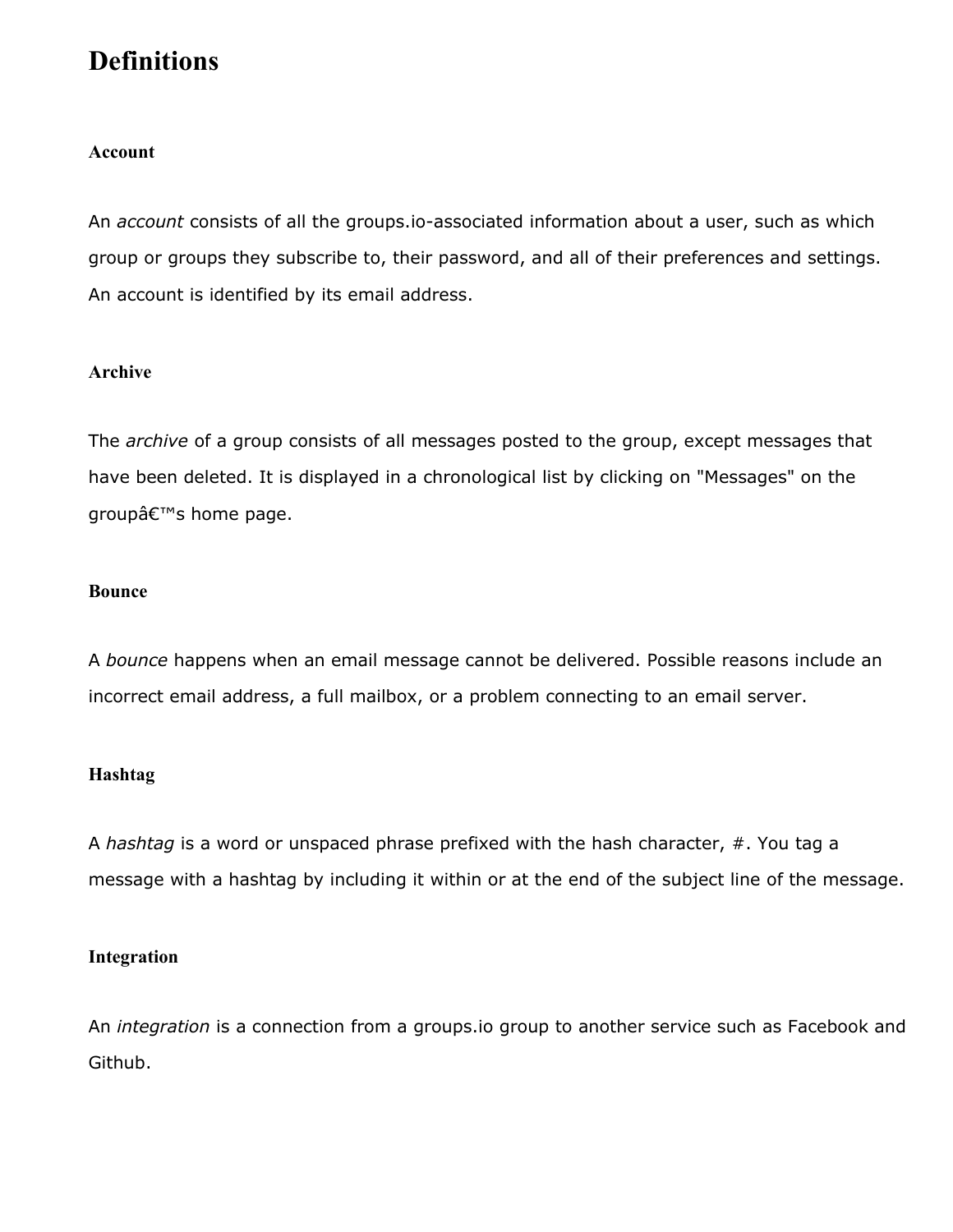# **Definitions**

### **Account**

An *account* consists of all the groups.io-associated information about a user, such as which group or groups they subscribe to, their password, and all of their preferences and settings. An account is identified by its email address.

### **Archive**

The *archive* of a group consists of all messages posted to the group, except messages that have been deleted. It is displayed in a chronological list by clicking on "Messages" on the groupâ€<sup>™</sup>s home page.

### **Bounce**

A *bounce* happens when an email message cannot be delivered. Possible reasons include an incorrect email address, a full mailbox, or a problem connecting to an email server.

### **Hashtag**

A *hashtag* is a word or unspaced phrase prefixed with the hash character, #. You tag a message with a hashtag by including it within or at the end of the subject line of the message.

### **Integration**

An *integration* is a connection from a groups.io group to another service such as Facebook and Github.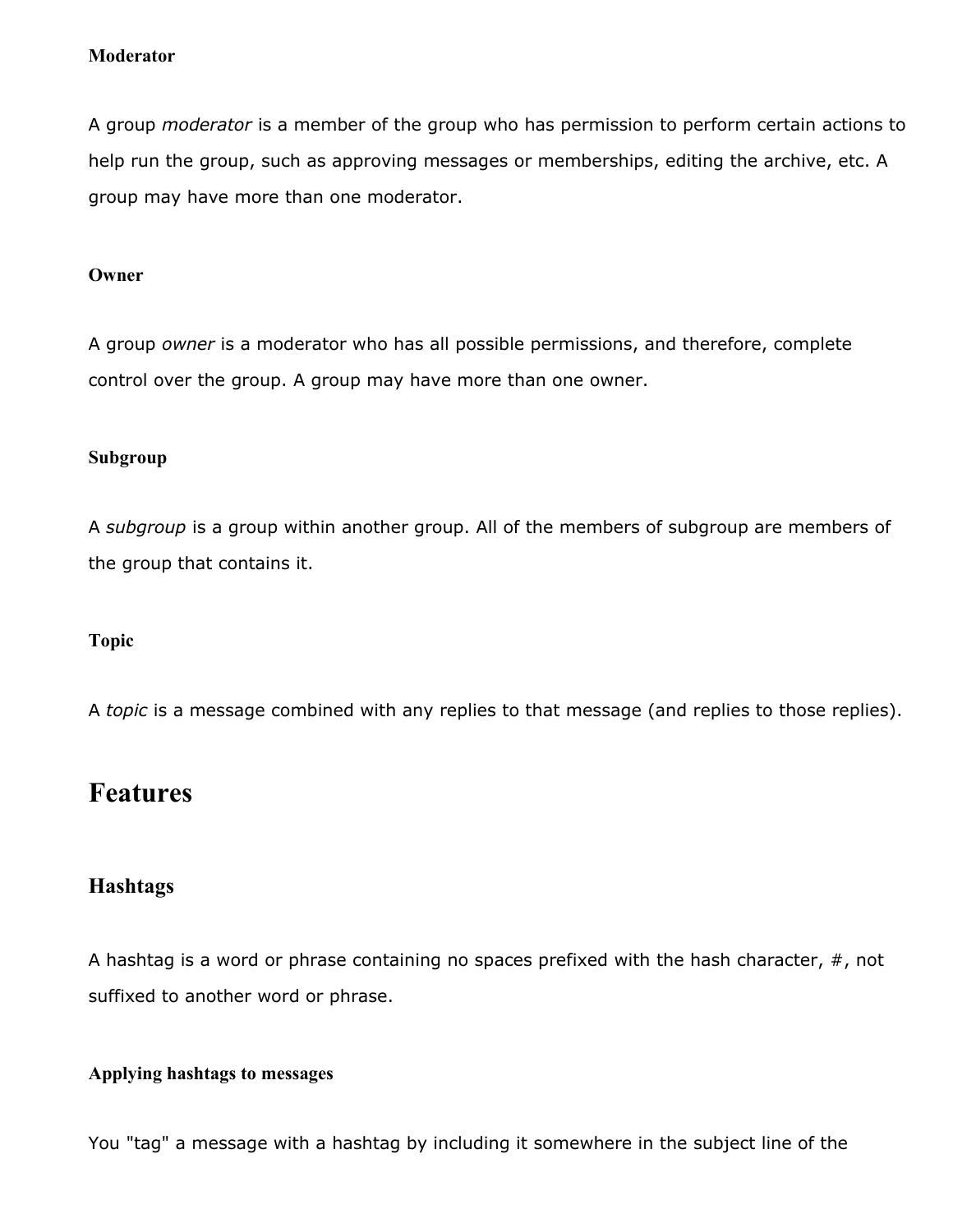### **Moderator**

A group *moderator* is a member of the group who has permission to perform certain actions to help run the group, such as approving messages or memberships, editing the archive, etc. A group may have more than one moderator.

### **Owner**

A group *owner* is a moderator who has all possible permissions, and therefore, complete control over the group. A group may have more than one owner.

### **Subgroup**

A *subgroup* is a group within another group. All of the members of subgroup are members of the group that contains it.

### **Topic**

A *topic* is a message combined with any replies to that message (and replies to those replies).

## **Features**

### **Hashtags**

A hashtag is a word or phrase containing no spaces prefixed with the hash character,  $#$ , not suffixed to another word or phrase.

### **Applying hashtags to messages**

You "tag" a message with a hashtag by including it somewhere in the subject line of the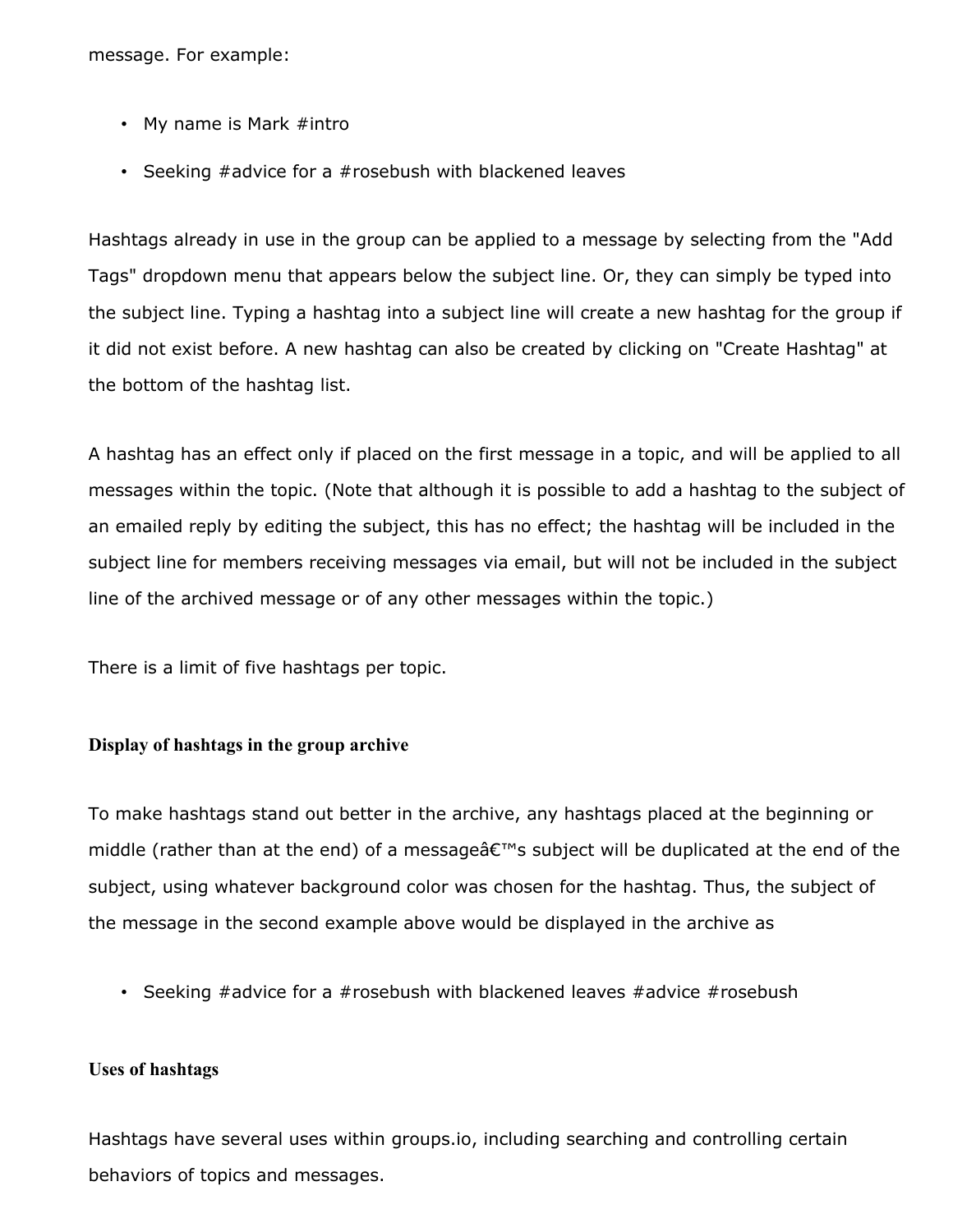message. For example:

- My name is Mark #intro
- Seeking #advice for a #rosebush with blackened leaves

Hashtags already in use in the group can be applied to a message by selecting from the "Add Tags" dropdown menu that appears below the subject line. Or, they can simply be typed into the subject line. Typing a hashtag into a subject line will create a new hashtag for the group if it did not exist before. A new hashtag can also be created by clicking on "Create Hashtag" at the bottom of the hashtag list.

A hashtag has an effect only if placed on the first message in a topic, and will be applied to all messages within the topic. (Note that although it is possible to add a hashtag to the subject of an emailed reply by editing the subject, this has no effect; the hashtag will be included in the subject line for members receiving messages via email, but will not be included in the subject line of the archived message or of any other messages within the topic.)

There is a limit of five hashtags per topic.

### **Display of hashtags in the group archive**

To make hashtags stand out better in the archive, any hashtags placed at the beginning or middle (rather than at the end) of a message $\hat{\mathbf{a}} \in \mathbb{N}$  subject will be duplicated at the end of the subject, using whatever background color was chosen for the hashtag. Thus, the subject of the message in the second example above would be displayed in the archive as

• Seeking #advice for a #rosebush with blackened leaves #advice #rosebush

#### **Uses of hashtags**

Hashtags have several uses within groups.io, including searching and controlling certain behaviors of topics and messages.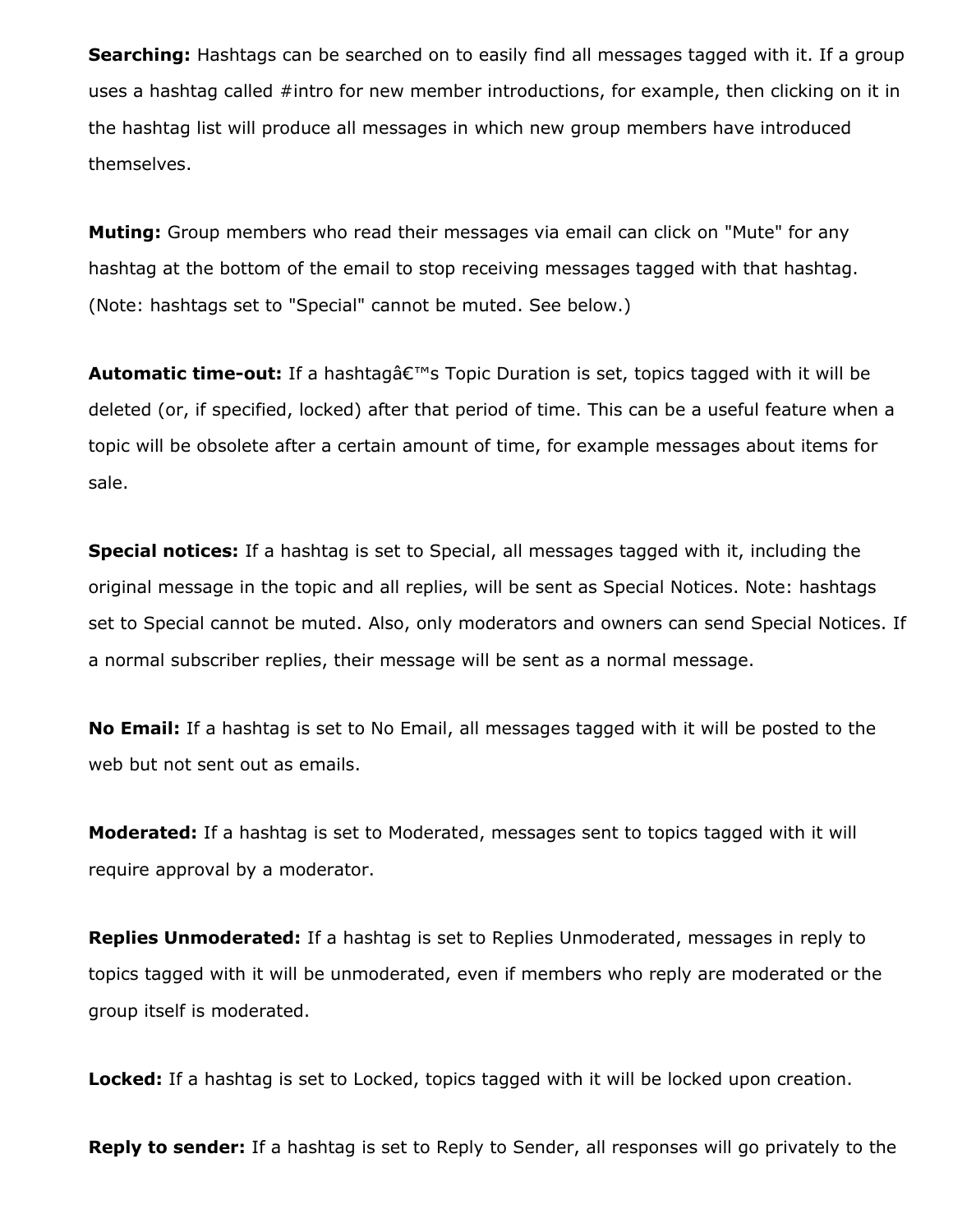**Searching:** Hashtags can be searched on to easily find all messages tagged with it. If a group uses a hashtag called #intro for new member introductions, for example, then clicking on it in the hashtag list will produce all messages in which new group members have introduced themselves.

**Muting:** Group members who read their messages via email can click on "Mute" for any hashtag at the bottom of the email to stop receiving messages tagged with that hashtag. (Note: hashtags set to "Special" cannot be muted. See below.)

**Automatic time-out:** If a hashtag's Topic Duration is set, topics tagged with it will be deleted (or, if specified, locked) after that period of time. This can be a useful feature when a topic will be obsolete after a certain amount of time, for example messages about items for sale.

**Special notices:** If a hashtag is set to Special, all messages tagged with it, including the original message in the topic and all replies, will be sent as Special Notices. Note: hashtags set to Special cannot be muted. Also, only moderators and owners can send Special Notices. If a normal subscriber replies, their message will be sent as a normal message.

**No Email:** If a hashtag is set to No Email, all messages tagged with it will be posted to the web but not sent out as emails.

**Moderated:** If a hashtag is set to Moderated, messages sent to topics tagged with it will require approval by a moderator.

**Replies Unmoderated:** If a hashtag is set to Replies Unmoderated, messages in reply to topics tagged with it will be unmoderated, even if members who reply are moderated or the group itself is moderated.

**Locked:** If a hashtag is set to Locked, topics tagged with it will be locked upon creation.

**Reply to sender:** If a hashtag is set to Reply to Sender, all responses will go privately to the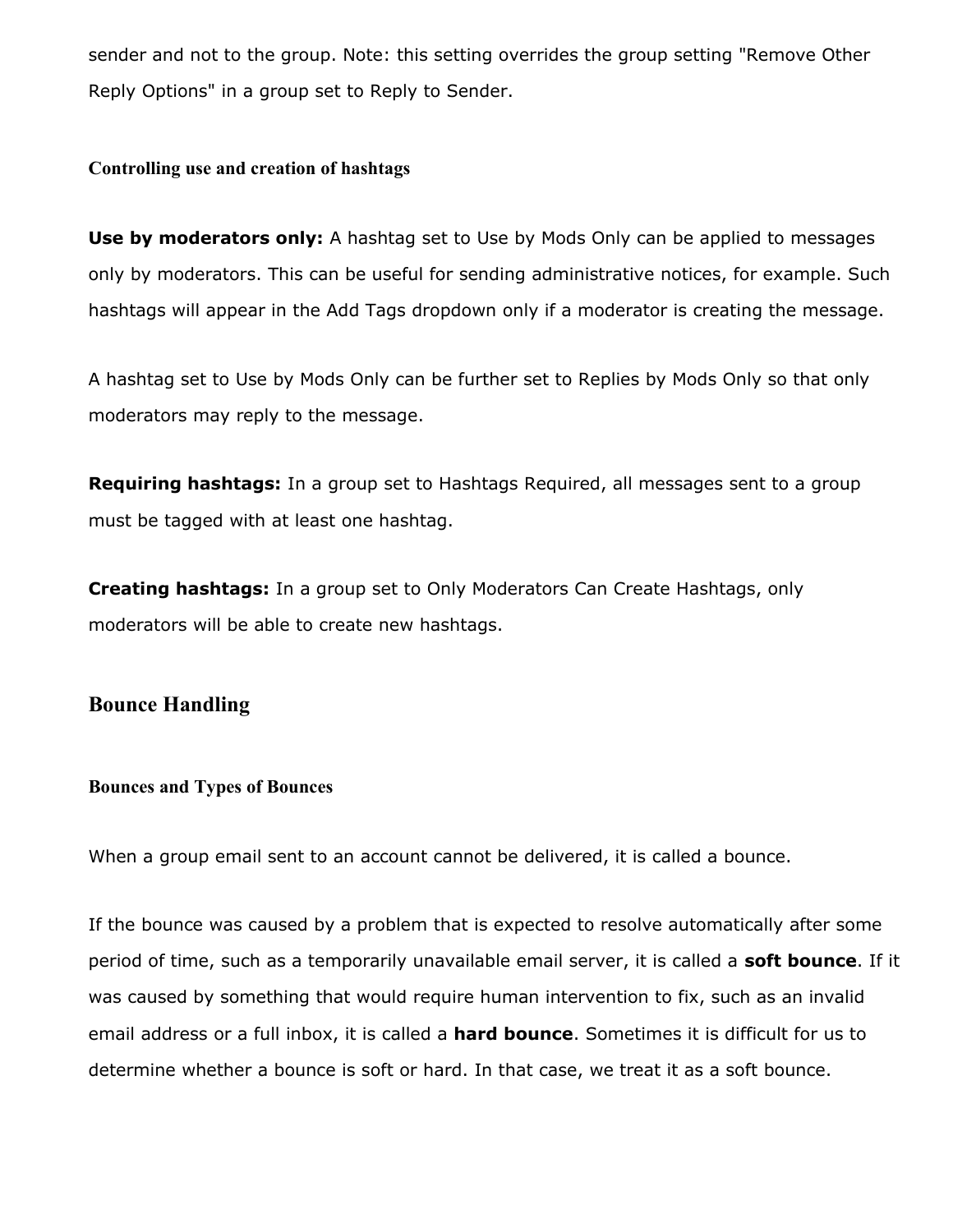sender and not to the group. Note: this setting overrides the group setting "Remove Other Reply Options" in a group set to Reply to Sender.

### **Controlling use and creation of hashtags**

**Use by moderators only:** A hashtag set to Use by Mods Only can be applied to messages only by moderators. This can be useful for sending administrative notices, for example. Such hashtags will appear in the Add Tags dropdown only if a moderator is creating the message.

A hashtag set to Use by Mods Only can be further set to Replies by Mods Only so that only moderators may reply to the message.

**Requiring hashtags:** In a group set to Hashtags Required, all messages sent to a group must be tagged with at least one hashtag.

**Creating hashtags:** In a group set to Only Moderators Can Create Hashtags, only moderators will be able to create new hashtags.

### **Bounce Handling**

#### **Bounces and Types of Bounces**

When a group email sent to an account cannot be delivered, it is called a bounce.

If the bounce was caused by a problem that is expected to resolve automatically after some period of time, such as a temporarily unavailable email server, it is called a **soft bounce**. If it was caused by something that would require human intervention to fix, such as an invalid email address or a full inbox, it is called a **hard bounce**. Sometimes it is difficult for us to determine whether a bounce is soft or hard. In that case, we treat it as a soft bounce.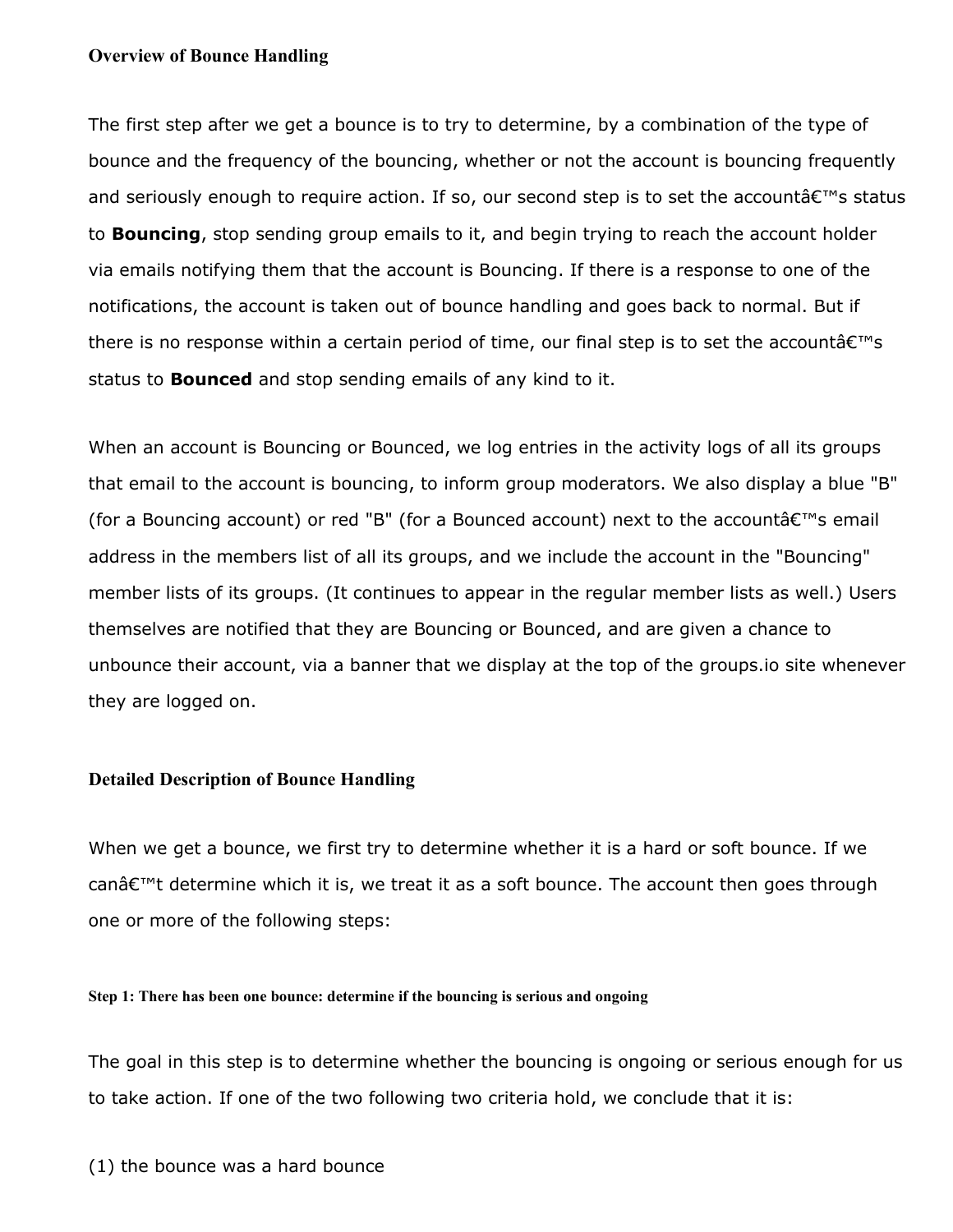#### **Overview of Bounce Handling**

The first step after we get a bounce is to try to determine, by a combination of the type of bounce and the frequency of the bouncing, whether or not the account is bouncing frequently and seriously enough to require action. If so, our second step is to set the account  $\hat{\mathbf{c}}^{\text{rw}}$ s status to **Bouncing**, stop sending group emails to it, and begin trying to reach the account holder via emails notifying them that the account is Bouncing. If there is a response to one of the notifications, the account is taken out of bounce handling and goes back to normal. But if there is no response within a certain period of time, our final step is to set the account  $\hat{\epsilon}^{\text{TM}}$ s status to **Bounced** and stop sending emails of any kind to it.

When an account is Bouncing or Bounced, we log entries in the activity logs of all its groups that email to the account is bouncing, to inform group moderators. We also display a blue "B" (for a Bouncing account) or red "B" (for a Bounced account) next to the account  $\hat{\alpha} \in \mathbb{N}$  email address in the members list of all its groups, and we include the account in the "Bouncing" member lists of its groups. (It continues to appear in the regular member lists as well.) Users themselves are notified that they are Bouncing or Bounced, and are given a chance to unbounce their account, via a banner that we display at the top of the groups.io site whenever they are logged on.

#### **Detailed Description of Bounce Handling**

When we get a bounce, we first try to determine whether it is a hard or soft bounce. If we can $\hat{\mathbf{a}} \in \mathbb{M}$  determine which it is, we treat it as a soft bounce. The account then goes through one or more of the following steps:

#### **Step 1: There has been one bounce: determine if the bouncing is serious and ongoing**

The goal in this step is to determine whether the bouncing is ongoing or serious enough for us to take action. If one of the two following two criteria hold, we conclude that it is: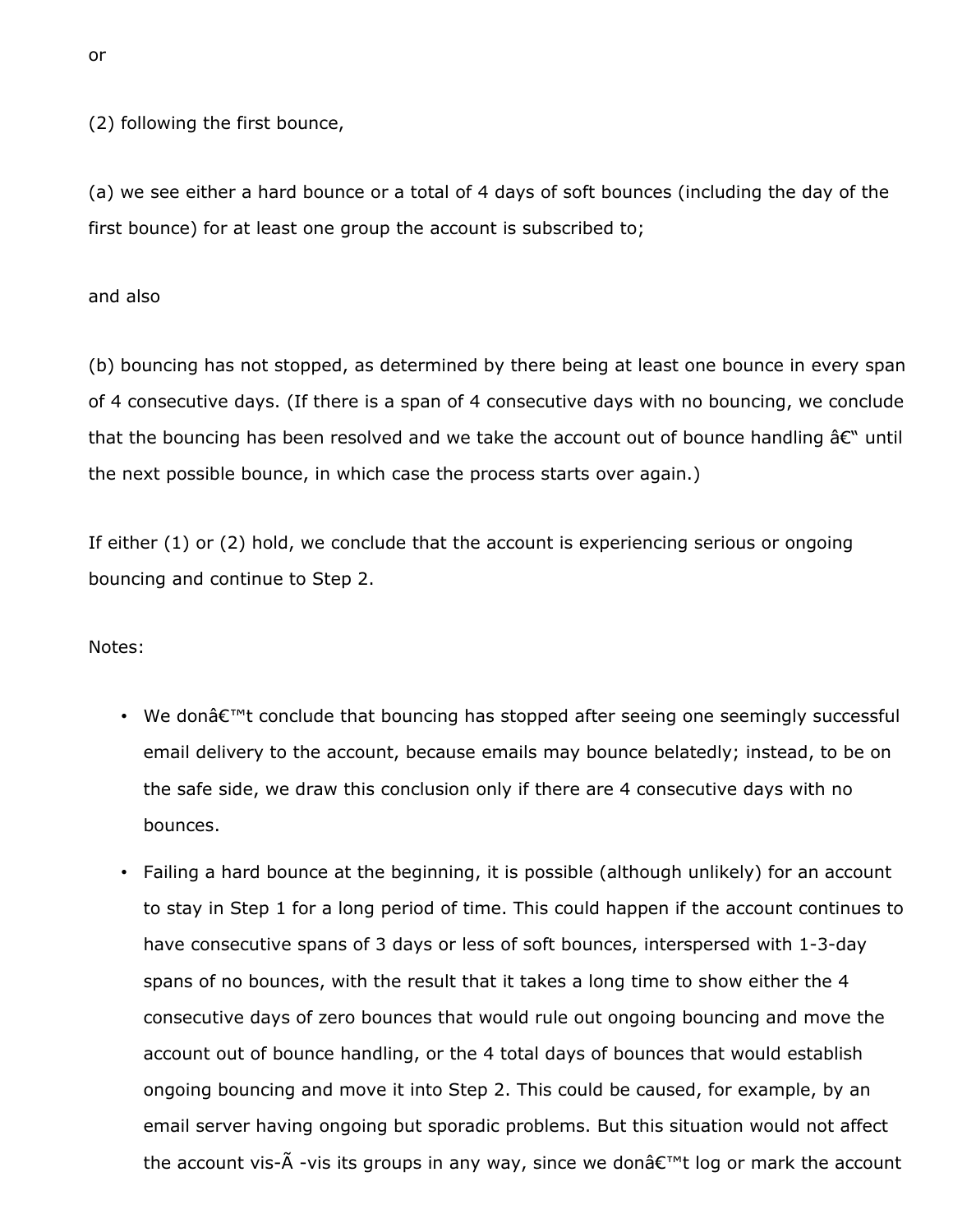(2) following the first bounce,

(a) we see either a hard bounce or a total of 4 days of soft bounces (including the day of the first bounce) for at least one group the account is subscribed to;

and also

(b) bouncing has not stopped, as determined by there being at least one bounce in every span of 4 consecutive days. (If there is a span of 4 consecutive days with no bouncing, we conclude that the bouncing has been resolved and we take the account out of bounce handling  $\hat{a}\epsilon^{\omega}$  until the next possible bounce, in which case the process starts over again.)

If either (1) or (2) hold, we conclude that the account is experiencing serious or ongoing bouncing and continue to Step 2.

Notes:

- We don $\hat{\mathcal{A}} \in \mathbb{R}^m$  conclude that bouncing has stopped after seeing one seemingly successful email delivery to the account, because emails may bounce belatedly; instead, to be on the safe side, we draw this conclusion only if there are 4 consecutive days with no bounces.
- Failing a hard bounce at the beginning, it is possible (although unlikely) for an account to stay in Step 1 for a long period of time. This could happen if the account continues to have consecutive spans of 3 days or less of soft bounces, interspersed with 1-3-day spans of no bounces, with the result that it takes a long time to show either the 4 consecutive days of zero bounces that would rule out ongoing bouncing and move the account out of bounce handling, or the 4 total days of bounces that would establish ongoing bouncing and move it into Step 2. This could be caused, for example, by an email server having ongoing but sporadic problems. But this situation would not affect the account vis- $\tilde{A}$  -vis its groups in any way, since we don $\hat{a} \in \mathbb{N}$  log or mark the account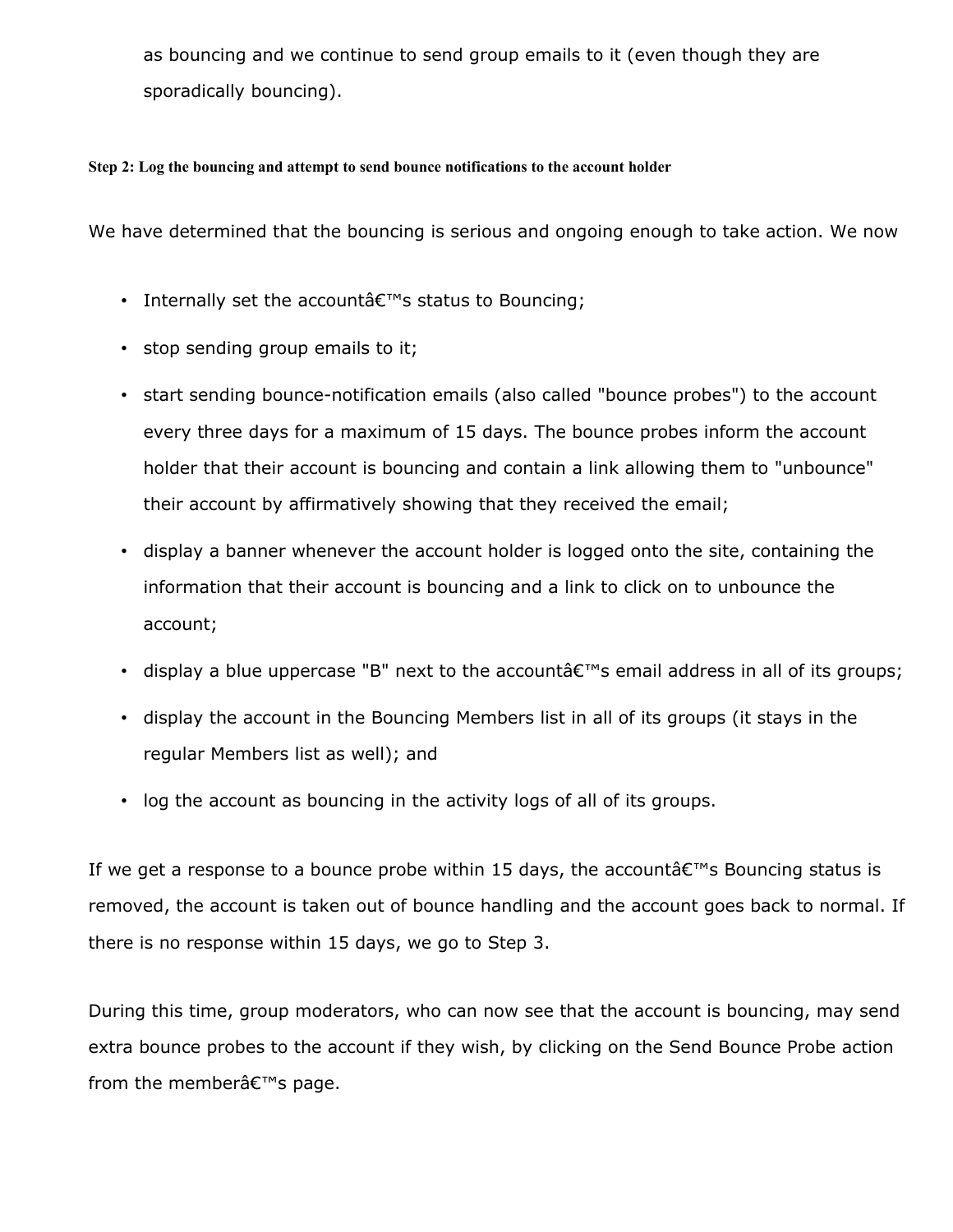as bouncing and we continue to send group emails to it (even though they are sporadically bouncing).

#### **Step 2: Log the bouncing and attempt to send bounce notifications to the account holder**

We have determined that the bouncing is serious and ongoing enough to take action. We now

- Internally set the account  $\hat{\epsilon}^{\text{TM}}$ s status to Bouncing;
- stop sending group emails to it;
- start sending bounce-notification emails (also called "bounce probes") to the account every three days for a maximum of 15 days. The bounce probes inform the account holder that their account is bouncing and contain a link allowing them to "unbounce" their account by affirmatively showing that they received the email;
- display a banner whenever the account holder is logged onto the site, containing the information that their account is bouncing and a link to click on to unbounce the account;
- display a blue uppercase "B" next to the account  $\hat{\alpha} \in \mathbb{R}^n$  email address in all of its groups;
- display the account in the Bouncing Members list in all of its groups (it stays in the regular Members list as well); and
- log the account as bouncing in the activity logs of all of its groups.

If we get a response to a bounce probe within 15 days, the account  $\hat{\theta} \in \mathbb{N}$  Bouncing status is removed, the account is taken out of bounce handling and the account goes back to normal. If there is no response within 15 days, we go to Step 3.

During this time, group moderators, who can now see that the account is bouncing, may send extra bounce probes to the account if they wish, by clicking on the Send Bounce Probe action from the member $\hat{a} \in \mathbb{M}$ s page.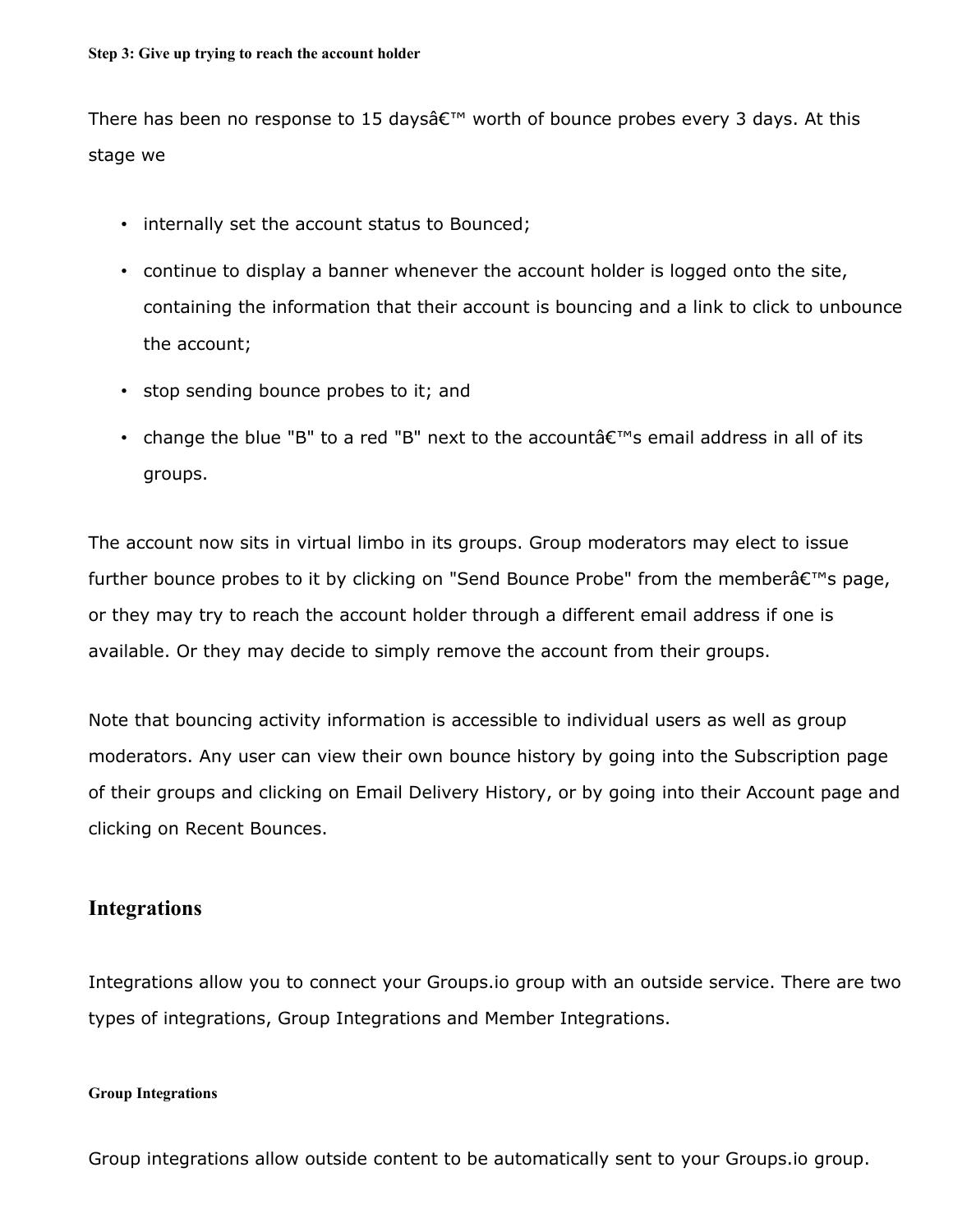There has been no response to 15 daysâ $\epsilon^{m}$  worth of bounce probes every 3 days. At this stage we

- internally set the account status to Bounced;
- continue to display a banner whenever the account holder is logged onto the site, containing the information that their account is bouncing and a link to click to unbounce the account;
- stop sending bounce probes to it; and
- change the blue "B" to a red "B" next to the account  $\hat{\theta} \in \mathbb{R}^{m}$ s email address in all of its groups.

The account now sits in virtual limbo in its groups. Group moderators may elect to issue further bounce probes to it by clicking on "Send Bounce Probe" from the member $\hat{a} \in \mathbb{N}$ s page, or they may try to reach the account holder through a different email address if one is available. Or they may decide to simply remove the account from their groups.

Note that bouncing activity information is accessible to individual users as well as group moderators. Any user can view their own bounce history by going into the Subscription page of their groups and clicking on Email Delivery History, or by going into their Account page and clicking on Recent Bounces.

### **Integrations**

Integrations allow you to connect your Groups.io group with an outside service. There are two types of integrations, Group Integrations and Member Integrations.

#### **Group Integrations**

Group integrations allow outside content to be automatically sent to your Groups.io group.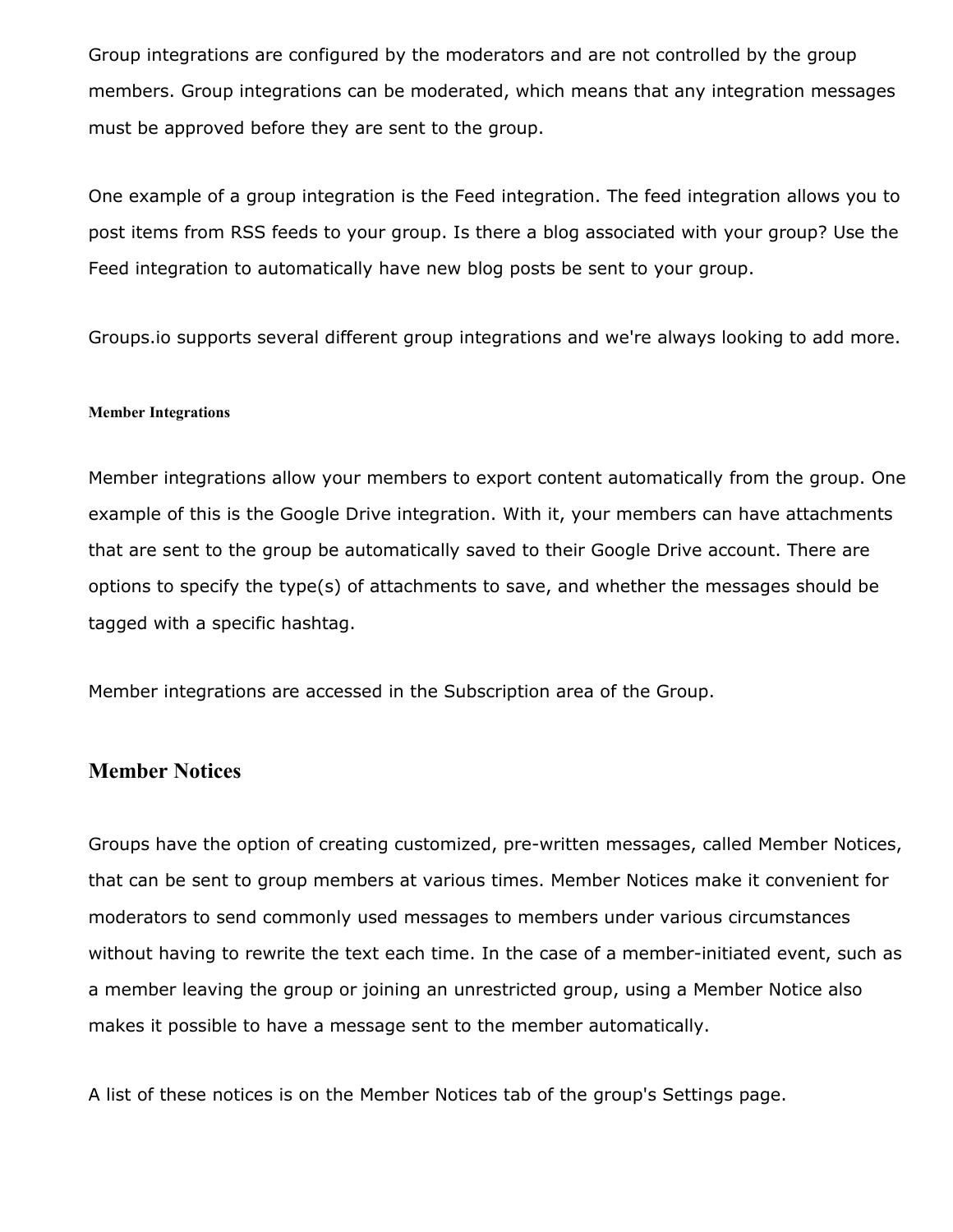Group integrations are configured by the moderators and are not controlled by the group members. Group integrations can be moderated, which means that any integration messages must be approved before they are sent to the group.

One example of a group integration is the Feed integration. The feed integration allows you to post items from RSS feeds to your group. Is there a blog associated with your group? Use the Feed integration to automatically have new blog posts be sent to your group.

Groups.io supports several different group integrations and we're always looking to add more.

#### **Member Integrations**

Member integrations allow your members to export content automatically from the group. One example of this is the Google Drive integration. With it, your members can have attachments that are sent to the group be automatically saved to their Google Drive account. There are options to specify the type(s) of attachments to save, and whether the messages should be tagged with a specific hashtag.

Member integrations are accessed in the Subscription area of the Group.

### **Member Notices**

Groups have the option of creating customized, pre-written messages, called Member Notices, that can be sent to group members at various times. Member Notices make it convenient for moderators to send commonly used messages to members under various circumstances without having to rewrite the text each time. In the case of a member-initiated event, such as a member leaving the group or joining an unrestricted group, using a Member Notice also makes it possible to have a message sent to the member automatically.

A list of these notices is on the Member Notices tab of the group's Settings page.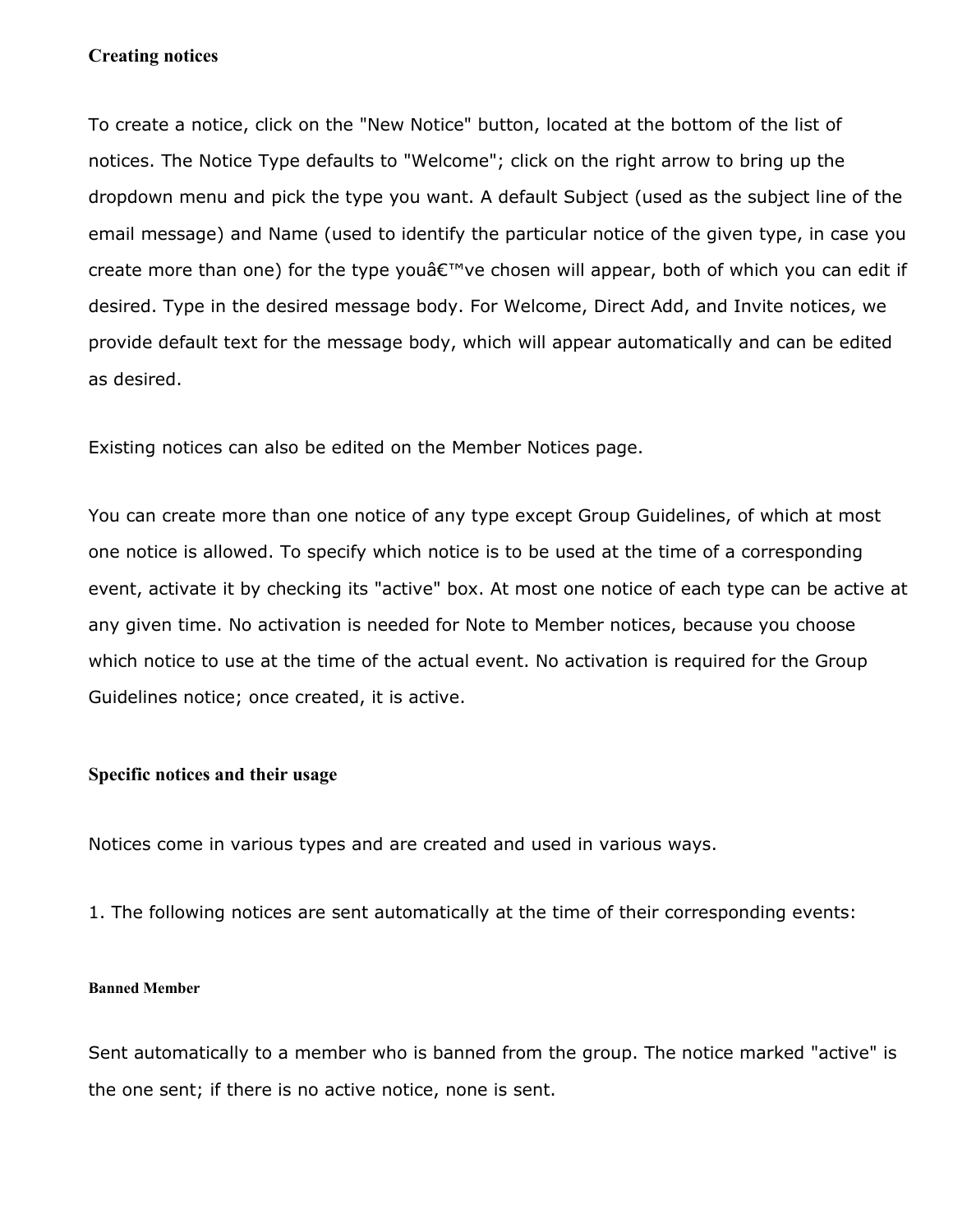#### **Creating notices**

To create a notice, click on the "New Notice" button, located at the bottom of the list of notices. The Notice Type defaults to "Welcome"; click on the right arrow to bring up the dropdown menu and pick the type you want. A default Subject (used as the subject line of the email message) and Name (used to identify the particular notice of the given type, in case you create more than one) for the type you've chosen will appear, both of which you can edit if desired. Type in the desired message body. For Welcome, Direct Add, and Invite notices, we provide default text for the message body, which will appear automatically and can be edited as desired.

Existing notices can also be edited on the Member Notices page.

You can create more than one notice of any type except Group Guidelines, of which at most one notice is allowed. To specify which notice is to be used at the time of a corresponding event, activate it by checking its "active" box. At most one notice of each type can be active at any given time. No activation is needed for Note to Member notices, because you choose which notice to use at the time of the actual event. No activation is required for the Group Guidelines notice; once created, it is active.

### **Specific notices and their usage**

Notices come in various types and are created and used in various ways.

1. The following notices are sent automatically at the time of their corresponding events:

#### **Banned Member**

Sent automatically to a member who is banned from the group. The notice marked "active" is the one sent; if there is no active notice, none is sent.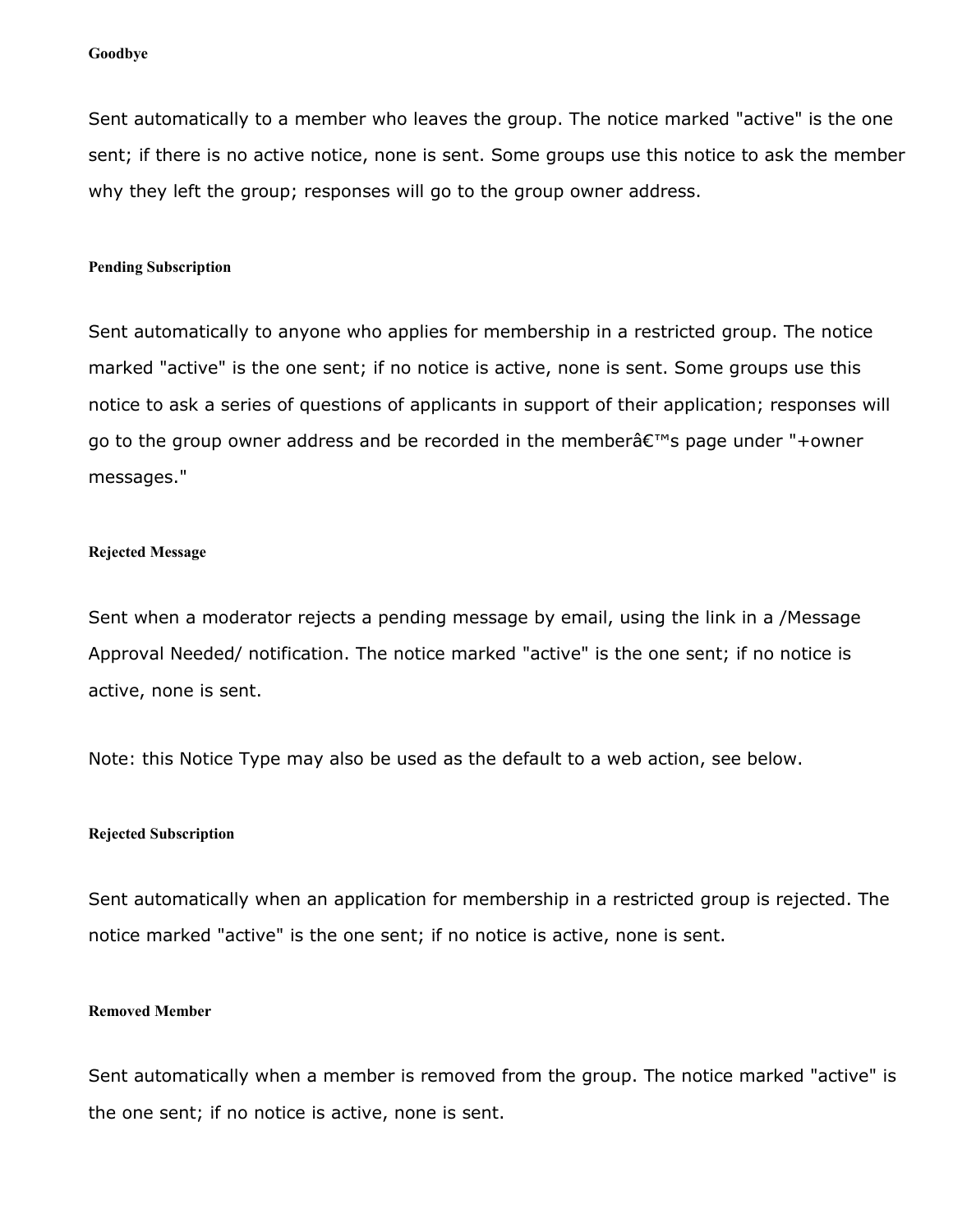#### **Goodbye**

Sent automatically to a member who leaves the group. The notice marked "active" is the one sent; if there is no active notice, none is sent. Some groups use this notice to ask the member why they left the group; responses will go to the group owner address.

#### **Pending Subscription**

Sent automatically to anyone who applies for membership in a restricted group. The notice marked "active" is the one sent; if no notice is active, none is sent. Some groups use this notice to ask a series of questions of applicants in support of their application; responses will go to the group owner address and be recorded in the member $\hat{a} \in \mathbb{N}$ s page under "+owner messages."

#### **Rejected Message**

Sent when a moderator rejects a pending message by email, using the link in a /Message Approval Needed/ notification. The notice marked "active" is the one sent; if no notice is active, none is sent.

Note: this Notice Type may also be used as the default to a web action, see below.

#### **Rejected Subscription**

Sent automatically when an application for membership in a restricted group is rejected. The notice marked "active" is the one sent; if no notice is active, none is sent.

#### **Removed Member**

Sent automatically when a member is removed from the group. The notice marked "active" is the one sent; if no notice is active, none is sent.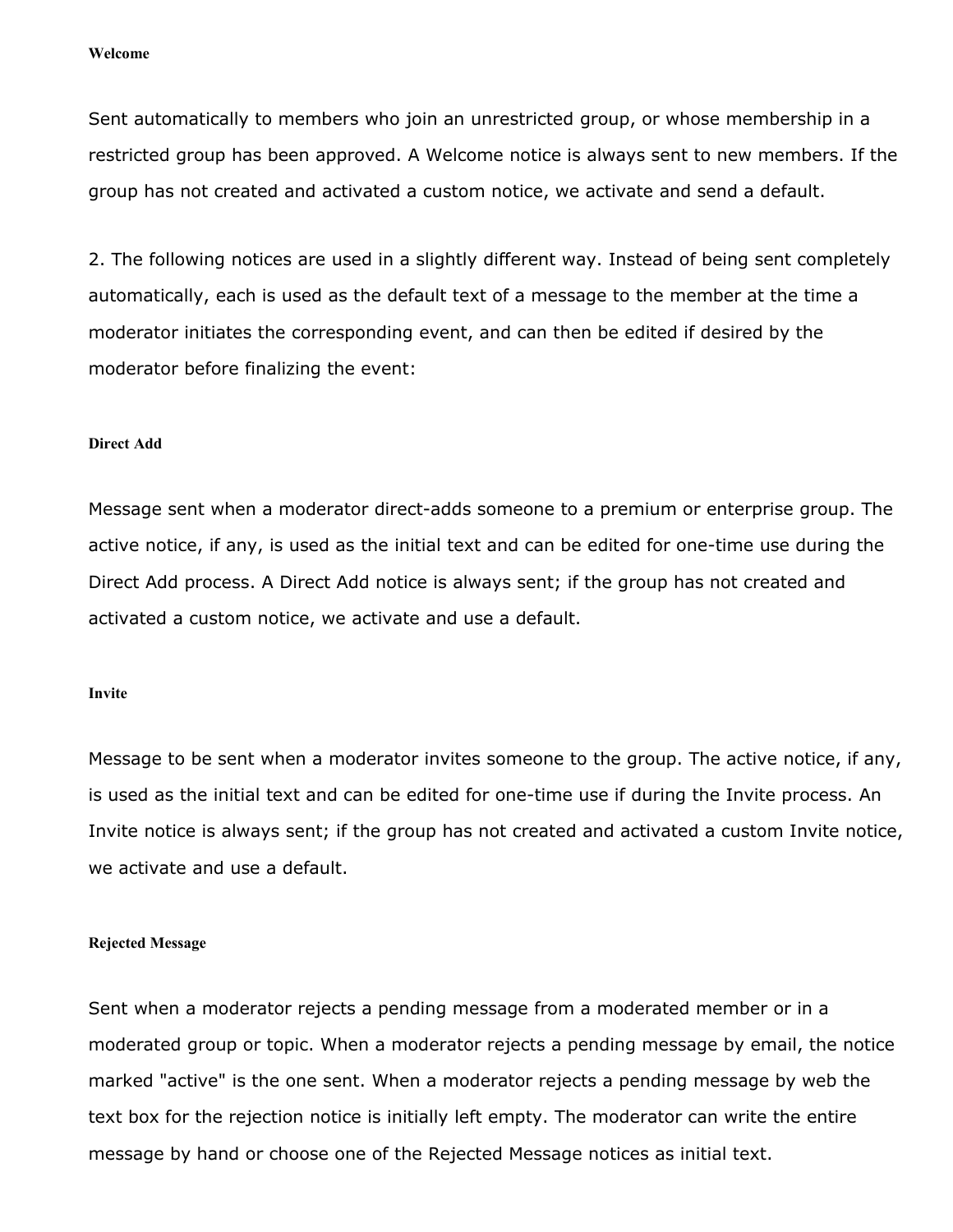Sent automatically to members who join an unrestricted group, or whose membership in a restricted group has been approved. A Welcome notice is always sent to new members. If the group has not created and activated a custom notice, we activate and send a default.

2. The following notices are used in a slightly different way. Instead of being sent completely automatically, each is used as the default text of a message to the member at the time a moderator initiates the corresponding event, and can then be edited if desired by the moderator before finalizing the event:

#### **Direct Add**

Message sent when a moderator direct-adds someone to a premium or enterprise group. The active notice, if any, is used as the initial text and can be edited for one-time use during the Direct Add process. A Direct Add notice is always sent; if the group has not created and activated a custom notice, we activate and use a default.

#### **Invite**

Message to be sent when a moderator invites someone to the group. The active notice, if any, is used as the initial text and can be edited for one-time use if during the Invite process. An Invite notice is always sent; if the group has not created and activated a custom Invite notice, we activate and use a default.

#### **Rejected Message**

Sent when a moderator rejects a pending message from a moderated member or in a moderated group or topic. When a moderator rejects a pending message by email, the notice marked "active" is the one sent. When a moderator rejects a pending message by web the text box for the rejection notice is initially left empty. The moderator can write the entire message by hand or choose one of the Rejected Message notices as initial text.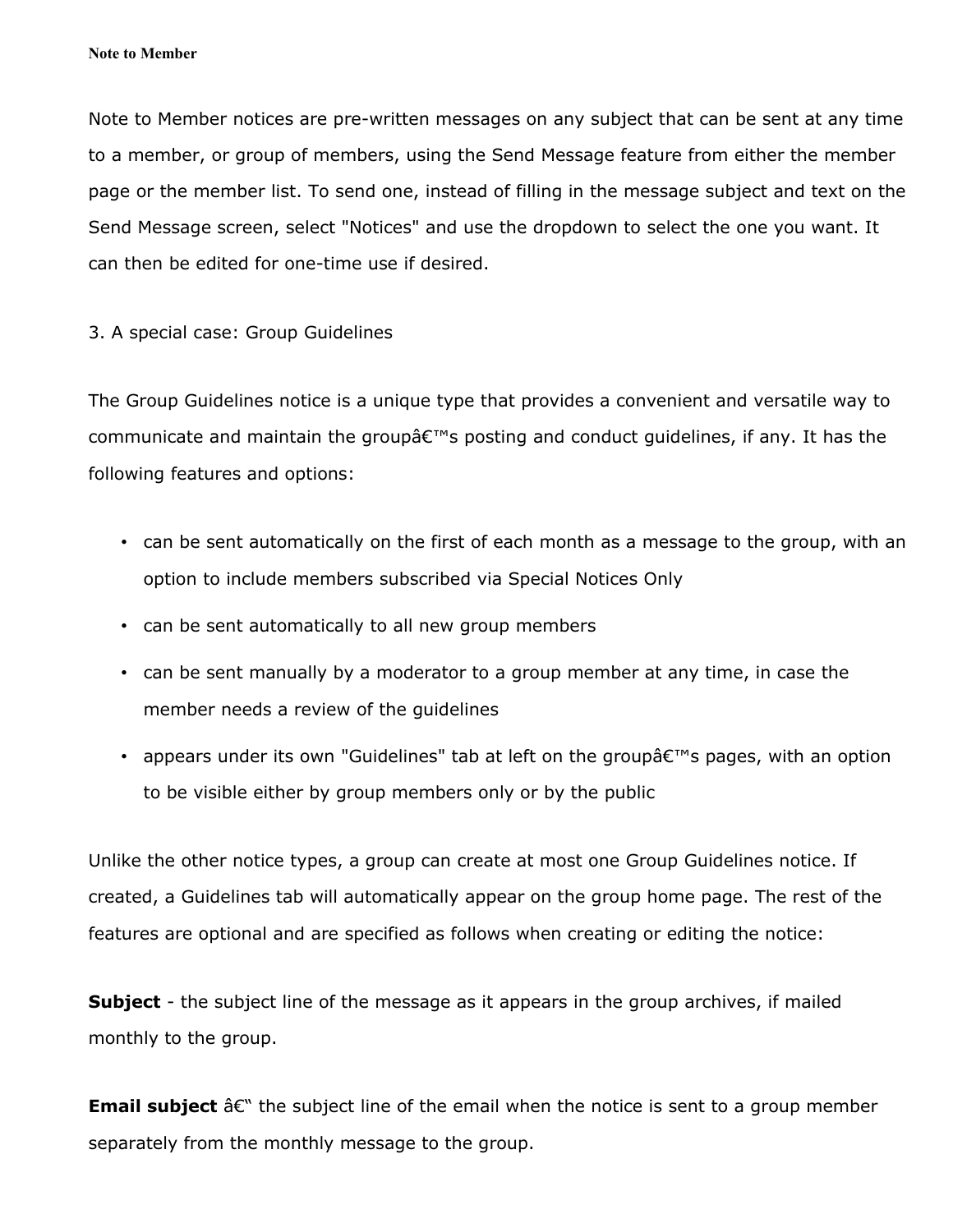Note to Member notices are pre-written messages on any subject that can be sent at any time to a member, or group of members, using the Send Message feature from either the member page or the member list. To send one, instead of filling in the message subject and text on the Send Message screen, select "Notices" and use the dropdown to select the one you want. It can then be edited for one-time use if desired.

### 3. A special case: Group Guidelines

The Group Guidelines notice is a unique type that provides a convenient and versatile way to communicate and maintain the group  $\hat{\theta} \in \mathbb{N}^n$  posting and conduct quidelines, if any. It has the following features and options:

- can be sent automatically on the first of each month as a message to the group, with an option to include members subscribed via Special Notices Only
- can be sent automatically to all new group members
- can be sent manually by a moderator to a group member at any time, in case the member needs a review of the guidelines
- appears under its own "Guidelines" tab at left on the group  $\hat{\theta} \in \mathbb{N}$  pages, with an option to be visible either by group members only or by the public

Unlike the other notice types, a group can create at most one Group Guidelines notice. If created, a Guidelines tab will automatically appear on the group home page. The rest of the features are optional and are specified as follows when creating or editing the notice:

**Subject** - the subject line of the message as it appears in the group archives, if mailed monthly to the group.

**Email subject**  $\hat{a}\in\mathcal{C}$  the subject line of the email when the notice is sent to a group member separately from the monthly message to the group.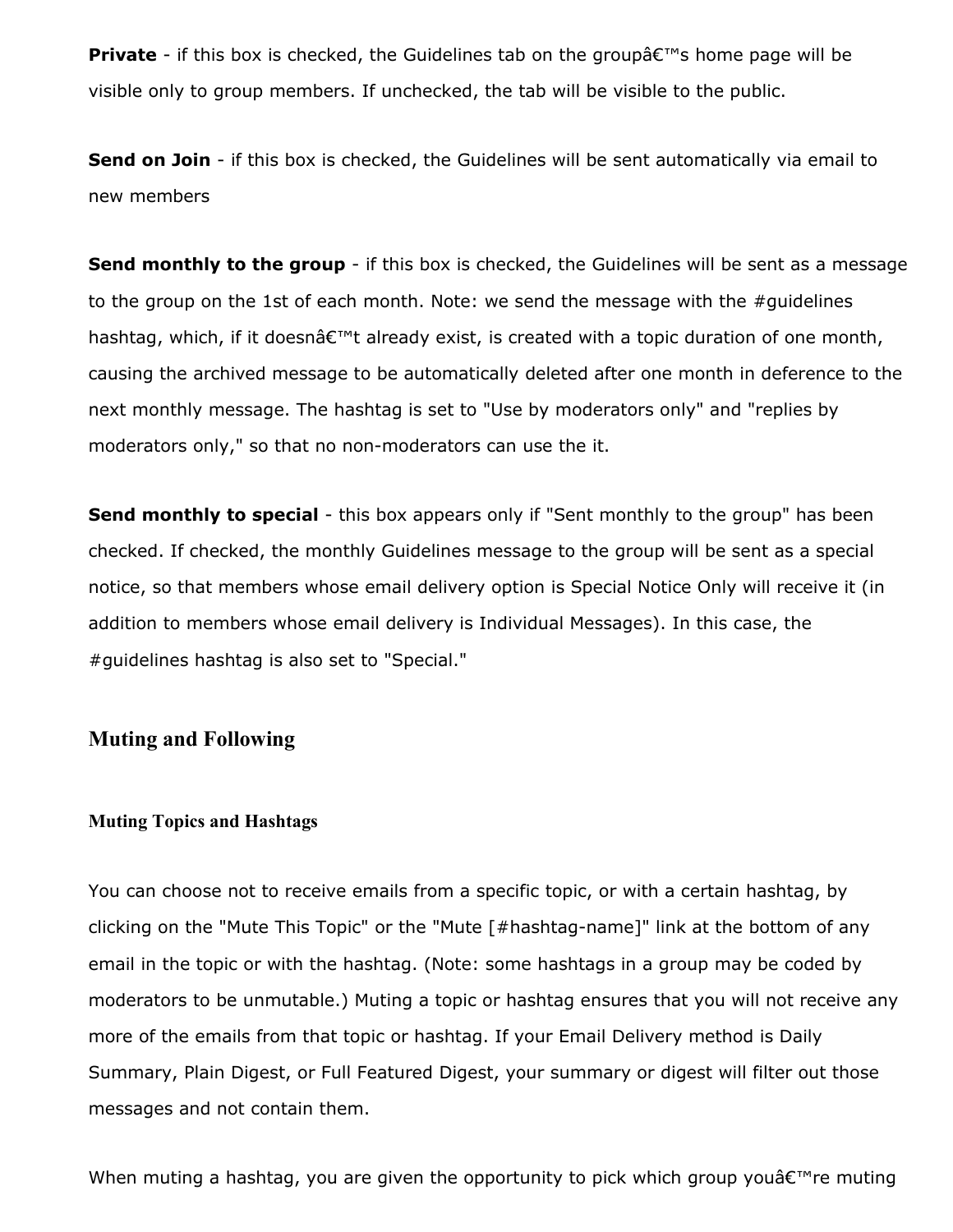**Private** - if this box is checked, the Guidelines tab on the group  $\hat{a} \in \mathbb{N}$  home page will be visible only to group members. If unchecked, the tab will be visible to the public.

**Send on Join** - if this box is checked, the Guidelines will be sent automatically via email to new members

**Send monthly to the group** - if this box is checked, the Guidelines will be sent as a message to the group on the 1st of each month. Note: we send the message with the #guidelines hashtag, which, if it doesnâ $\varepsilon^{\text{TM}}$ t already exist, is created with a topic duration of one month, causing the archived message to be automatically deleted after one month in deference to the next monthly message. The hashtag is set to "Use by moderators only" and "replies by moderators only," so that no non-moderators can use the it.

**Send monthly to special** - this box appears only if "Sent monthly to the group" has been checked. If checked, the monthly Guidelines message to the group will be sent as a special notice, so that members whose email delivery option is Special Notice Only will receive it (in addition to members whose email delivery is Individual Messages). In this case, the #guidelines hashtag is also set to "Special."

### **Muting and Following**

#### **Muting Topics and Hashtags**

You can choose not to receive emails from a specific topic, or with a certain hashtag, by clicking on the "Mute This Topic" or the "Mute [#hashtag-name]" link at the bottom of any email in the topic or with the hashtag. (Note: some hashtags in a group may be coded by moderators to be unmutable.) Muting a topic or hashtag ensures that you will not receive any more of the emails from that topic or hashtag. If your Email Delivery method is Daily Summary, Plain Digest, or Full Featured Digest, your summary or digest will filter out those messages and not contain them.

When muting a hashtag, you are given the opportunity to pick which group you $\hat{\mathsf{a}} \in \mathbb{M}$ re muting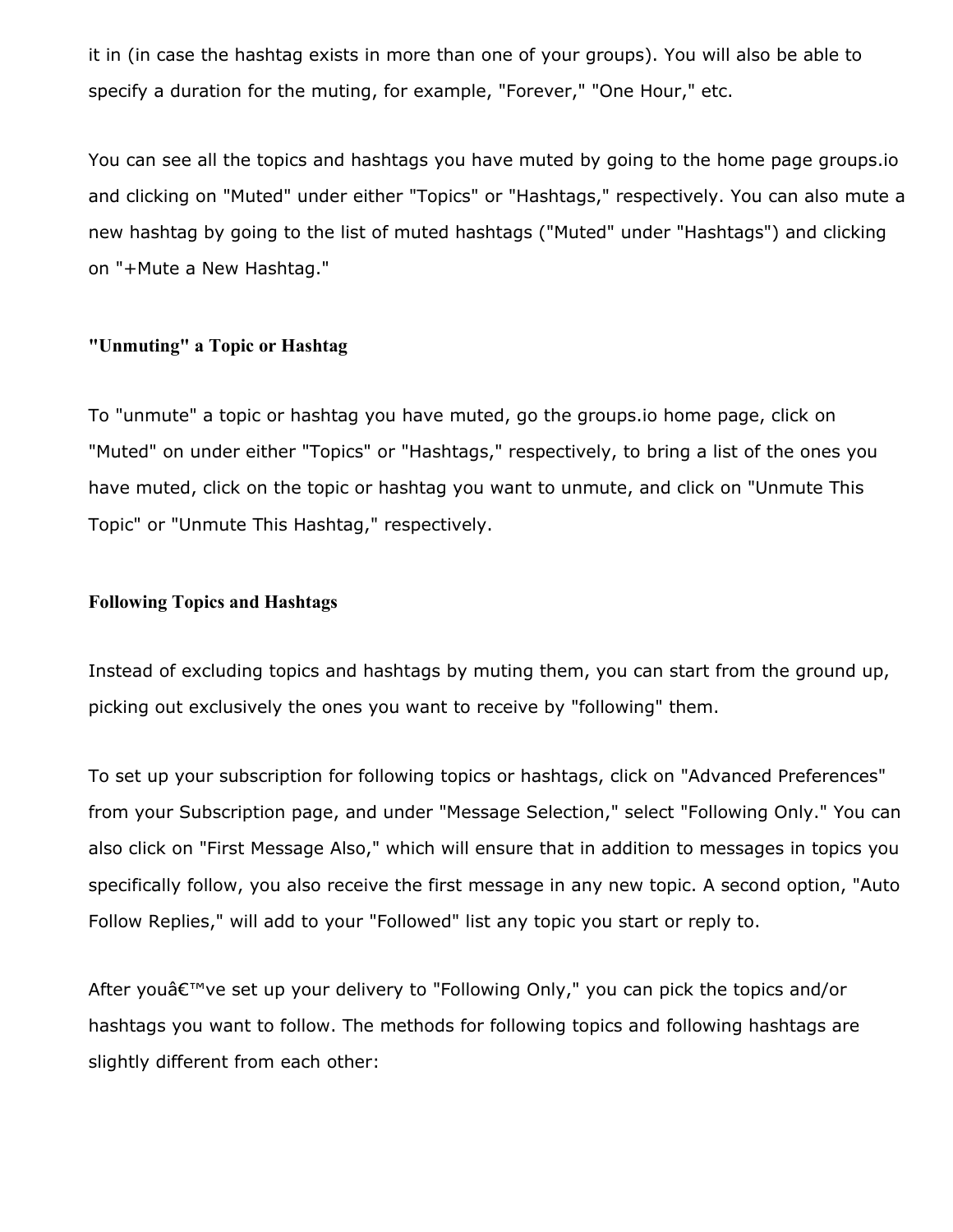it in (in case the hashtag exists in more than one of your groups). You will also be able to specify a duration for the muting, for example, "Forever," "One Hour," etc.

You can see all the topics and hashtags you have muted by going to the home page groups.io and clicking on "Muted" under either "Topics" or "Hashtags," respectively. You can also mute a new hashtag by going to the list of muted hashtags ("Muted" under "Hashtags") and clicking on "+Mute a New Hashtag."

### **"Unmuting" a Topic or Hashtag**

To "unmute" a topic or hashtag you have muted, go the groups.io home page, click on "Muted" on under either "Topics" or "Hashtags," respectively, to bring a list of the ones you have muted, click on the topic or hashtag you want to unmute, and click on "Unmute This Topic" or "Unmute This Hashtag," respectively.

### **Following Topics and Hashtags**

Instead of excluding topics and hashtags by muting them, you can start from the ground up, picking out exclusively the ones you want to receive by "following" them.

To set up your subscription for following topics or hashtags, click on "Advanced Preferences" from your Subscription page, and under "Message Selection," select "Following Only." You can also click on "First Message Also," which will ensure that in addition to messages in topics you specifically follow, you also receive the first message in any new topic. A second option, "Auto Follow Replies," will add to your "Followed" list any topic you start or reply to.

After you $\hat{a} \in \mathbb{N}$  ve set up your delivery to "Following Only," you can pick the topics and/or hashtags you want to follow. The methods for following topics and following hashtags are slightly different from each other: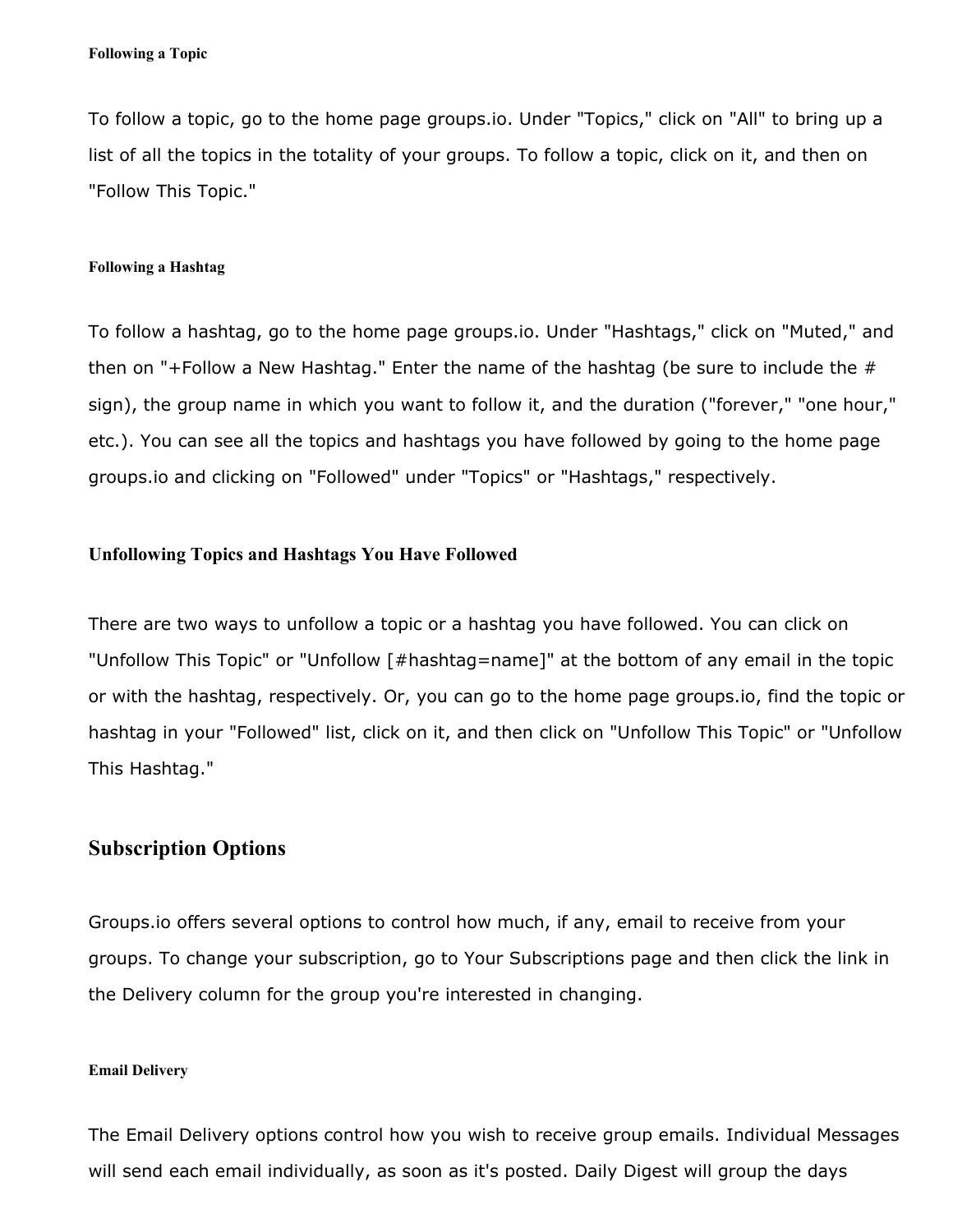To follow a topic, go to the home page groups.io. Under "Topics," click on "All" to bring up a list of all the topics in the totality of your groups. To follow a topic, click on it, and then on "Follow This Topic."

#### **Following a Hashtag**

To follow a hashtag, go to the home page groups.io. Under "Hashtags," click on "Muted," and then on "+Follow a New Hashtag." Enter the name of the hashtag (be sure to include the  $#$ sign), the group name in which you want to follow it, and the duration ("forever," "one hour," etc.). You can see all the topics and hashtags you have followed by going to the home page groups.io and clicking on "Followed" under "Topics" or "Hashtags," respectively.

### **Unfollowing Topics and Hashtags You Have Followed**

There are two ways to unfollow a topic or a hashtag you have followed. You can click on "Unfollow This Topic" or "Unfollow [#hashtag=name]" at the bottom of any email in the topic or with the hashtag, respectively. Or, you can go to the home page groups.io, find the topic or hashtag in your "Followed" list, click on it, and then click on "Unfollow This Topic" or "Unfollow This Hashtag."

### **Subscription Options**

Groups.io offers several options to control how much, if any, email to receive from your groups. To change your subscription, go to Your Subscriptions page and then click the link in the Delivery column for the group you're interested in changing.

#### **Email Delivery**

The Email Delivery options control how you wish to receive group emails. Individual Messages will send each email individually, as soon as it's posted. Daily Digest will group the days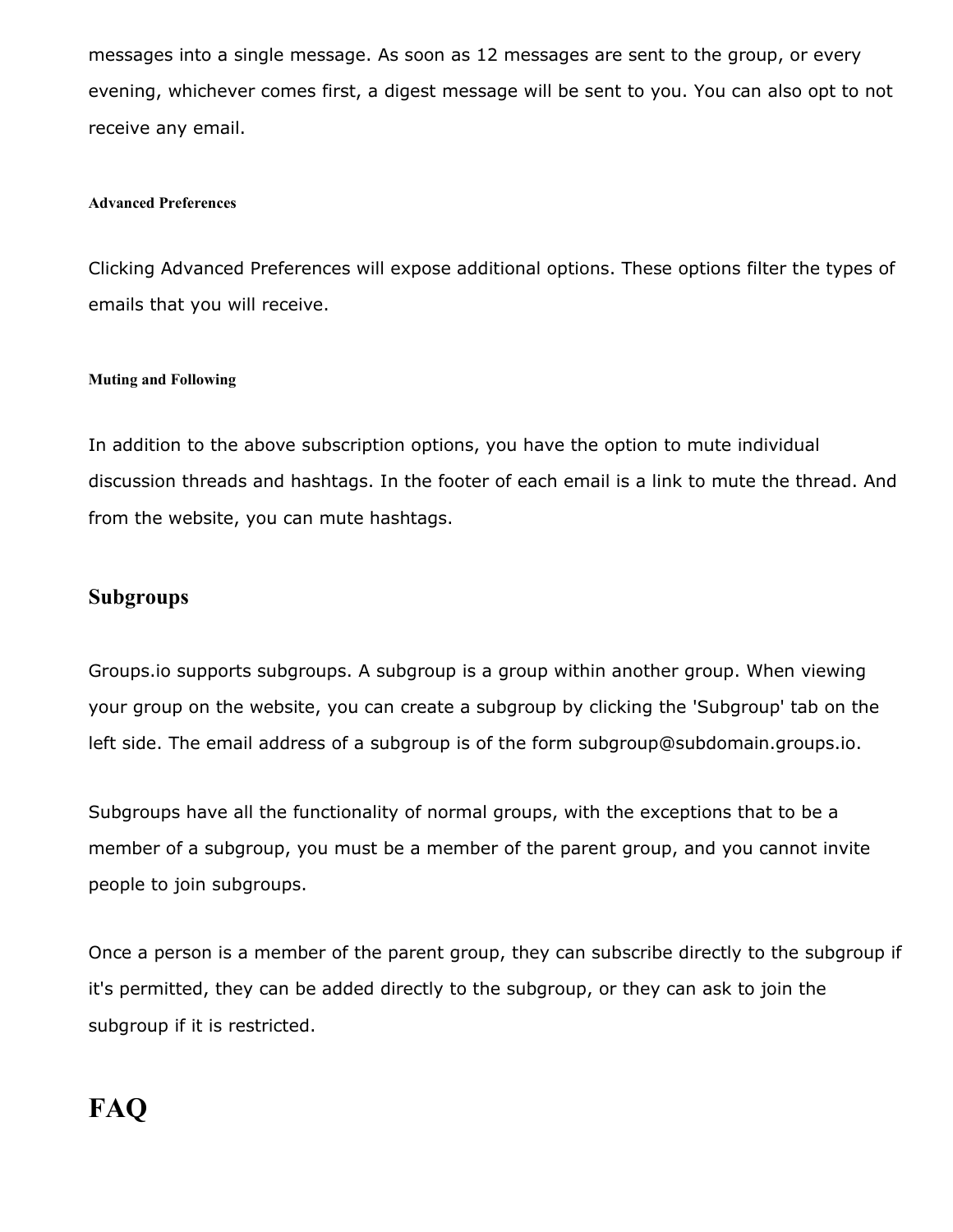messages into a single message. As soon as 12 messages are sent to the group, or every evening, whichever comes first, a digest message will be sent to you. You can also opt to not receive any email.

### **Advanced Preferences**

Clicking Advanced Preferences will expose additional options. These options filter the types of emails that you will receive.

### **Muting and Following**

In addition to the above subscription options, you have the option to mute individual discussion threads and hashtags. In the footer of each email is a link to mute the thread. And from the website, you can mute hashtags.

### **Subgroups**

Groups.io supports subgroups. A subgroup is a group within another group. When viewing your group on the website, you can create a subgroup by clicking the 'Subgroup' tab on the left side. The email address of a subgroup is of the form subgroup@subdomain.groups.io.

Subgroups have all the functionality of normal groups, with the exceptions that to be a member of a subgroup, you must be a member of the parent group, and you cannot invite people to join subgroups.

Once a person is a member of the parent group, they can subscribe directly to the subgroup if it's permitted, they can be added directly to the subgroup, or they can ask to join the subgroup if it is restricted.

# **FAQ**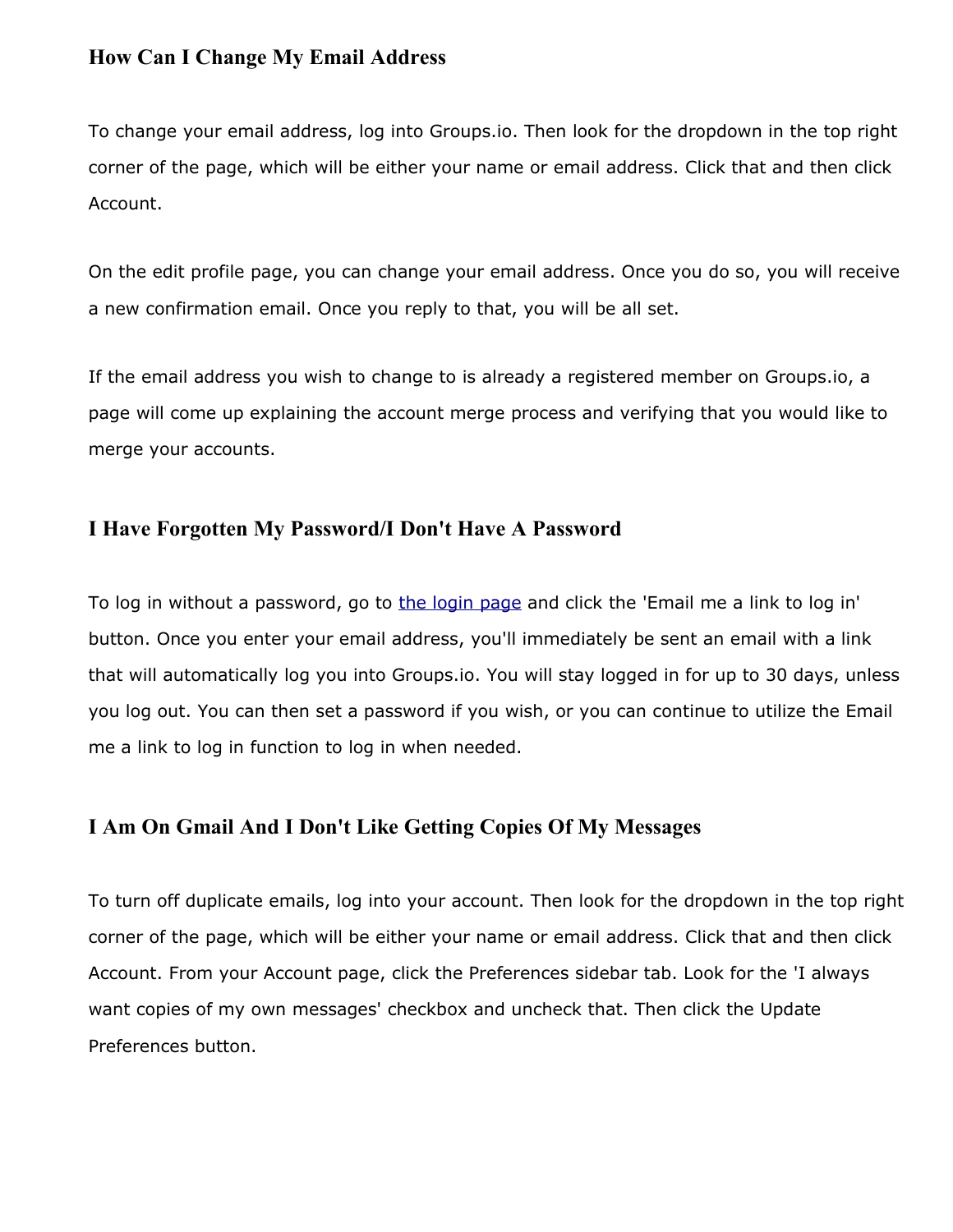### **How Can I Change My Email Address**

To change your email address, log into Groups.io. Then look for the dropdown in the top right corner of the page, which will be either your name or email address. Click that and then click Account.

On the edit profile page, you can change your email address. Once you do so, you will receive a new confirmation email. Once you reply to that, you will be all set.

If the email address you wish to change to is already a registered member on Groups.io, a page will come up explaining the account merge process and verifying that you would like to merge your accounts.

### **I Have Forgotten My Password/I Don't Have A Password**

To log in without a password, go to [the login page](https://groups.io/login) and click the 'Email me a link to log in' button. Once you enter your email address, you'll immediately be sent an email with a link that will automatically log you into Groups.io. You will stay logged in for up to 30 days, unless you log out. You can then set a password if you wish, or you can continue to utilize the Email me a link to log in function to log in when needed.

### **I Am On Gmail And I Don't Like Getting Copies Of My Messages**

To turn off duplicate emails, log into your account. Then look for the dropdown in the top right corner of the page, which will be either your name or email address. Click that and then click Account. From your Account page, click the Preferences sidebar tab. Look for the 'I always want copies of my own messages' checkbox and uncheck that. Then click the Update Preferences button.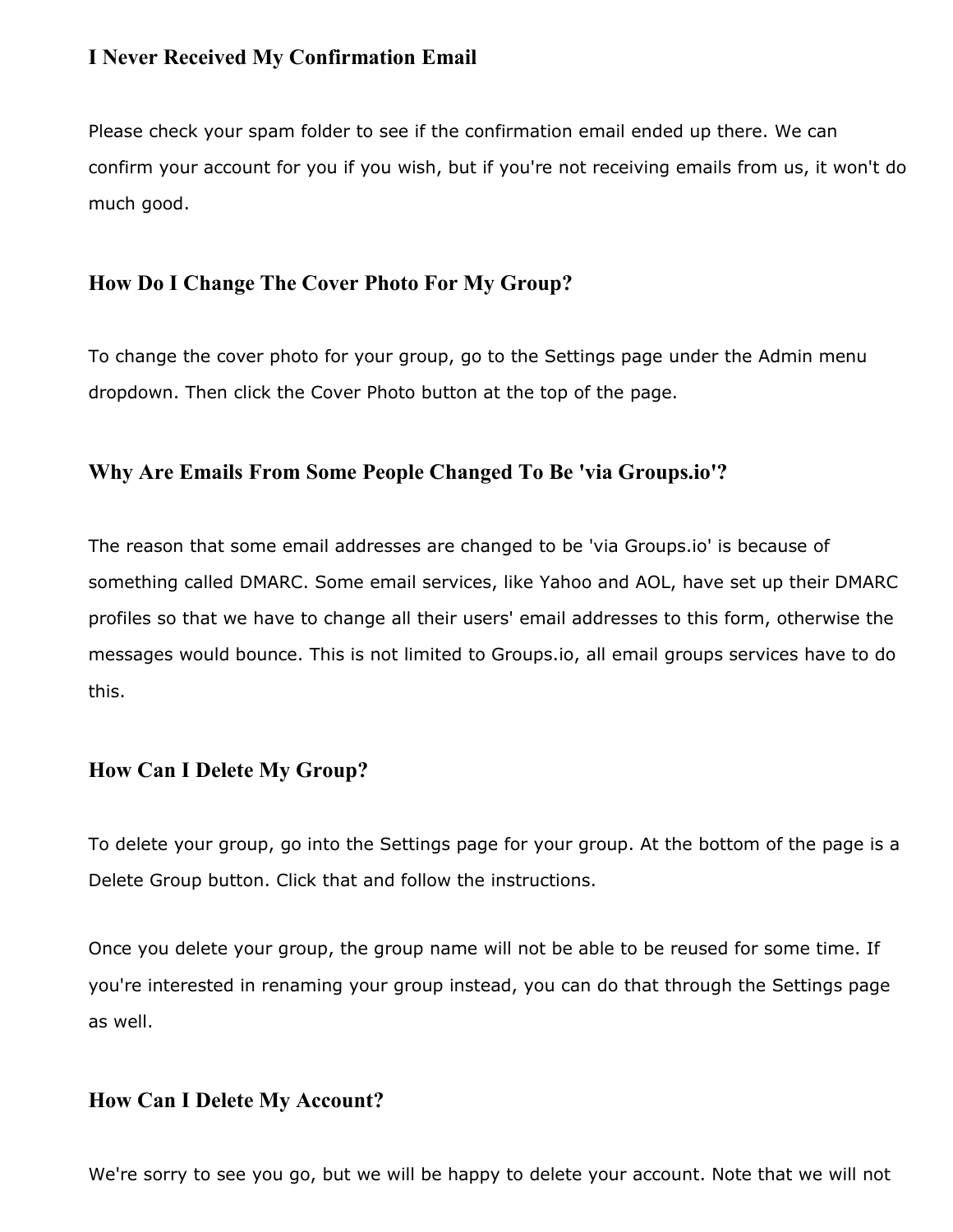### **I Never Received My Confirmation Email**

Please check your spam folder to see if the confirmation email ended up there. We can confirm your account for you if you wish, but if you're not receiving emails from us, it won't do much good.

### **How Do I Change The Cover Photo For My Group?**

To change the cover photo for your group, go to the Settings page under the Admin menu dropdown. Then click the Cover Photo button at the top of the page.

### **Why Are Emails From Some People Changed To Be 'via Groups.io'?**

The reason that some email addresses are changed to be 'via Groups.io' is because of something called DMARC. Some email services, like Yahoo and AOL, have set up their DMARC profiles so that we have to change all their users' email addresses to this form, otherwise the messages would bounce. This is not limited to Groups.io, all email groups services have to do this.

### **How Can I Delete My Group?**

To delete your group, go into the Settings page for your group. At the bottom of the page is a Delete Group button. Click that and follow the instructions.

Once you delete your group, the group name will not be able to be reused for some time. If you're interested in renaming your group instead, you can do that through the Settings page as well.

### **How Can I Delete My Account?**

We're sorry to see you go, but we will be happy to delete your account. Note that we will not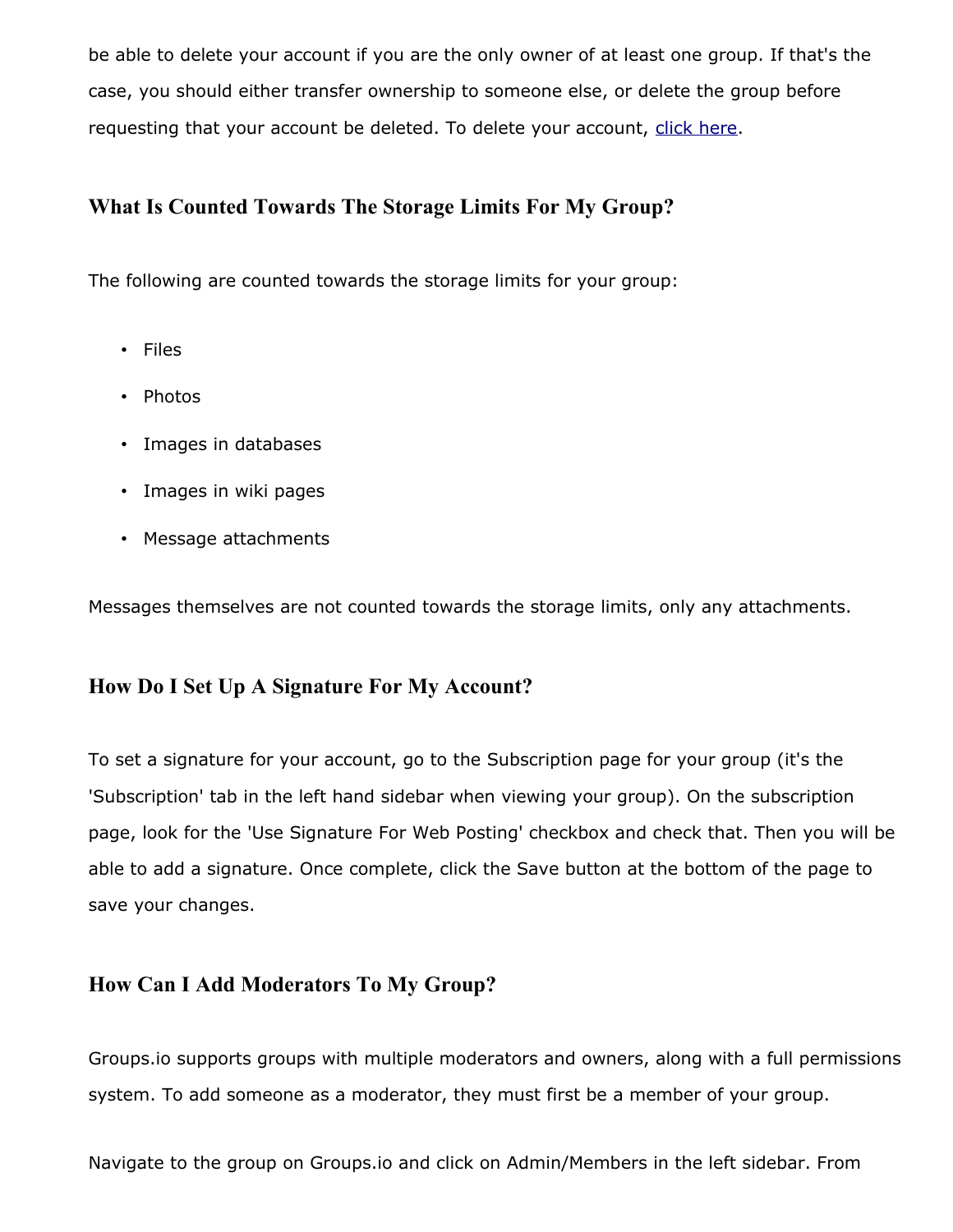be able to delete your account if you are the only owner of at least one group. If that's the case, you should either transfer ownership to someone else, or delete the group before requesting that your account be deleted. To delete your account, [click here.](https://groups.io/deleteaccount)

### **What Is Counted Towards The Storage Limits For My Group?**

The following are counted towards the storage limits for your group:

- Files
- Photos
- Images in databases
- Images in wiki pages
- Message attachments

Messages themselves are not counted towards the storage limits, only any attachments.

### **How Do I Set Up A Signature For My Account?**

To set a signature for your account, go to the Subscription page for your group (it's the 'Subscription' tab in the left hand sidebar when viewing your group). On the subscription page, look for the 'Use Signature For Web Posting' checkbox and check that. Then you will be able to add a signature. Once complete, click the Save button at the bottom of the page to save your changes.

### **How Can I Add Moderators To My Group?**

Groups.io supports groups with multiple moderators and owners, along with a full permissions system. To add someone as a moderator, they must first be a member of your group.

Navigate to the group on Groups.io and click on Admin/Members in the left sidebar. From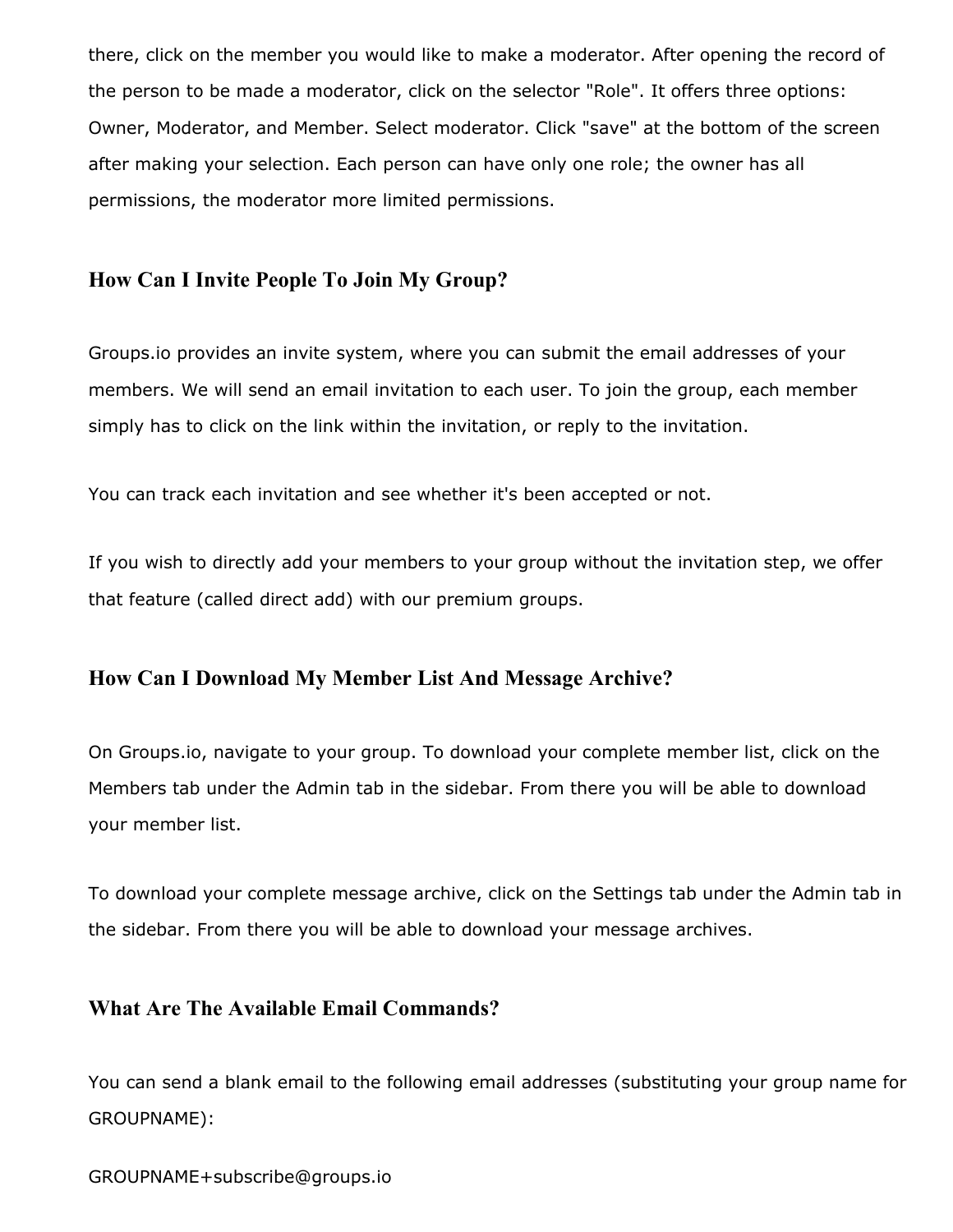there, click on the member you would like to make a moderator. After opening the record of the person to be made a moderator, click on the selector "Role". It offers three options: Owner, Moderator, and Member. Select moderator. Click "save" at the bottom of the screen after making your selection. Each person can have only one role; the owner has all permissions, the moderator more limited permissions.

### **How Can I Invite People To Join My Group?**

Groups.io provides an invite system, where you can submit the email addresses of your members. We will send an email invitation to each user. To join the group, each member simply has to click on the link within the invitation, or reply to the invitation.

You can track each invitation and see whether it's been accepted or not.

If you wish to directly add your members to your group without the invitation step, we offer that feature (called direct add) with our premium groups.

### **How Can I Download My Member List And Message Archive?**

On Groups.io, navigate to your group. To download your complete member list, click on the Members tab under the Admin tab in the sidebar. From there you will be able to download your member list.

To download your complete message archive, click on the Settings tab under the Admin tab in the sidebar. From there you will be able to download your message archives.

### **What Are The Available Email Commands?**

You can send a blank email to the following email addresses (substituting your group name for GROUPNAME):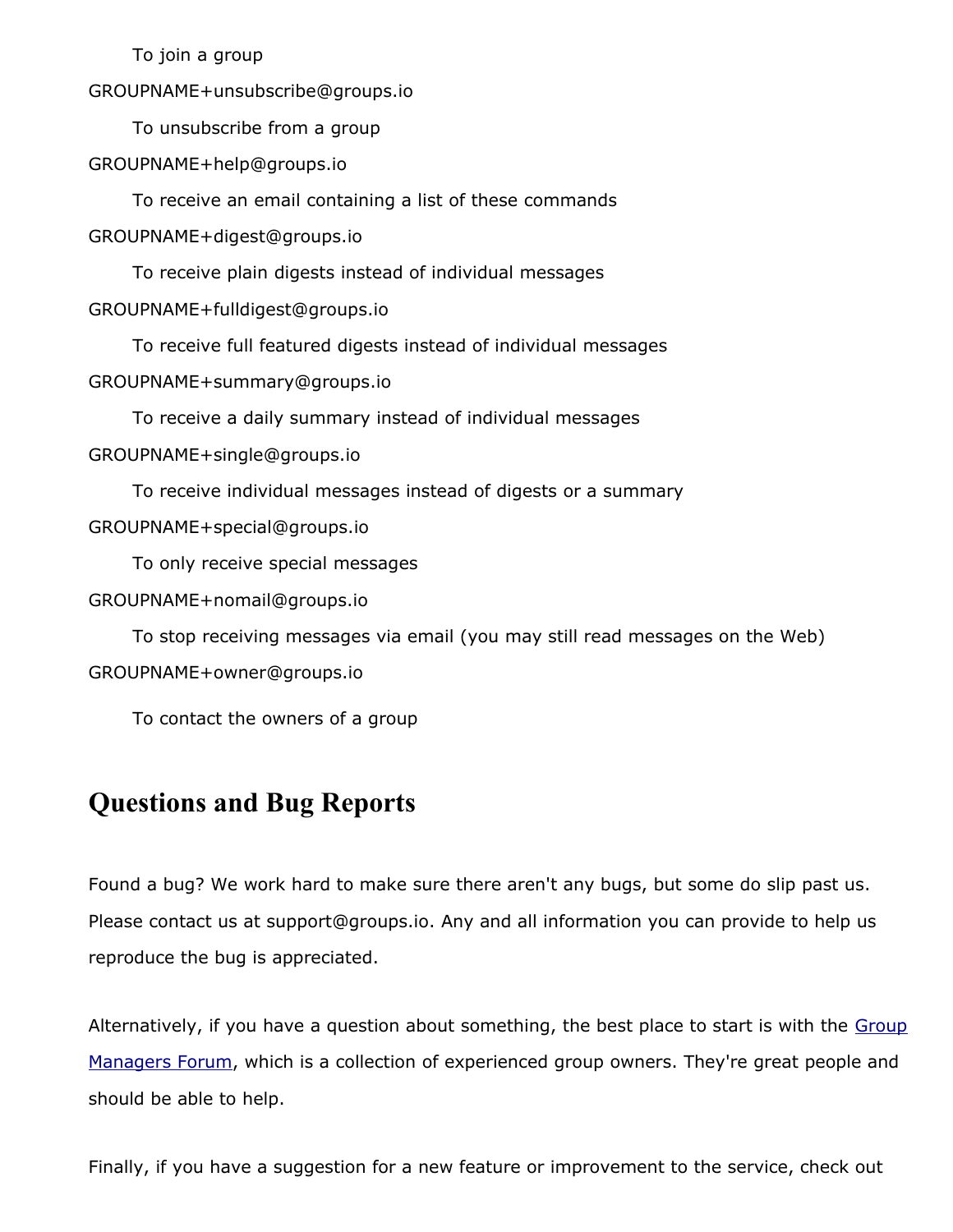To join a group

GROUPNAME+unsubscribe@groups.io

To unsubscribe from a group

GROUPNAME+help@groups.io

To receive an email containing a list of these commands

GROUPNAME+digest@groups.io

To receive plain digests instead of individual messages

GROUPNAME+fulldigest@groups.io

To receive full featured digests instead of individual messages

GROUPNAME+summary@groups.io

To receive a daily summary instead of individual messages GROUPNAME+single@groups.io

To receive individual messages instead of digests or a summary

GROUPNAME+special@groups.io

To only receive special messages

GROUPNAME+nomail@groups.io

To stop receiving messages via email (you may still read messages on the Web) GROUPNAME+owner@groups.io

To contact the owners of a group

# **Questions and Bug Reports**

Found a bug? We work hard to make sure there aren't any bugs, but some do slip past us. Please contact us at support@groups.io. Any and all information you can provide to help us reproduce the bug is appreciated.

Alternatively, if you have a question about something, the best place to start is with the [Group](https://groups.io/g/GroupManagersForum) [Managers Forum,](https://groups.io/g/GroupManagersForum) which is a collection of experienced group owners. They're great people and should be able to help.

Finally, if you have a suggestion for a new feature or improvement to the service, check out